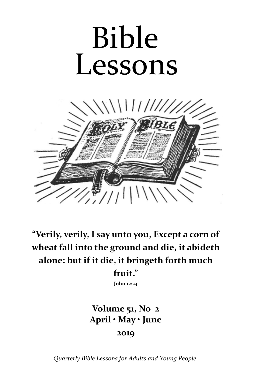# Bible Lessons



**"Verily, verily, I say unto you, Except a corn of wheat fall into the ground and die, it abideth alone: but if it die, it bringeth forth much** 

**fruit."**

**John 12:24**

# **Volume 51, No 2 April • May • June 2019**

*Quarterly Bible Lessons for Adults and Young People*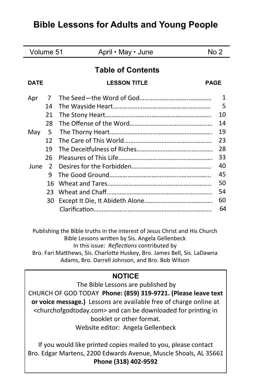# **Bible Lessons for Adults and Young People**

| Volume 51                |               | April • May • June  | No 2        |  |  |  |
|--------------------------|---------------|---------------------|-------------|--|--|--|
| <b>Table of Contents</b> |               |                     |             |  |  |  |
| <b>DATE</b>              |               | <b>LESSON TITLE</b> | <b>PAGE</b> |  |  |  |
| Apr                      | 7             |                     | 1           |  |  |  |
|                          | 14            |                     | 5           |  |  |  |
|                          | 21            |                     | 10          |  |  |  |
|                          | 28            |                     | 14          |  |  |  |
| May                      | -5            |                     | 19          |  |  |  |
|                          | 12            |                     | 23          |  |  |  |
|                          | 19            |                     | 28          |  |  |  |
|                          | 26            |                     | 33          |  |  |  |
| June                     | $\mathcal{P}$ |                     | 40          |  |  |  |
|                          | q             |                     | 45          |  |  |  |
|                          | 16            |                     | 50          |  |  |  |
|                          | 23            |                     | 54          |  |  |  |
|                          | 30            |                     | 60          |  |  |  |
|                          |               |                     | 64          |  |  |  |
|                          |               |                     |             |  |  |  |

Publishing the Bible truths in the interest of Jesus Christ and His Church Bible Lessons written by Sis. Angela Gellenbeck In this issue: *Reflections* contributed by Bro. Fari Matthews, Sis. Charlotte Huskey, Bro. James Bell, Sis. LaDawna Adams, Bro. Darrell Johnson, and Bro. Bob Wilson

# **NOTICE**

The Bible Lessons are published by CHURCH OF GOD TODAY **Phone: (859) 319-9721. (Please leave text or voice message.)** Lessons are available free of charge online at <churchofgodtoday.com> and can be downloaded for printing in booklet or other format. Website editor: Angela Gellenbeck

If you would like printed copies mailed to you, please contact Bro. Edgar Martens, 2200 Edwards Avenue, Muscle Shoals, AL 35661 **Phone (318) 402-9592**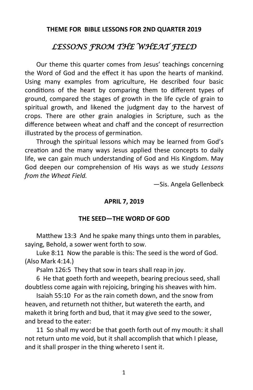#### **THEME FOR BIBLE LESSONS FOR 2ND QUARTER 2019**

# *LESSONS FROM THE WHEAT FIELD*

Our theme this quarter comes from Jesus' teachings concerning the Word of God and the effect it has upon the hearts of mankind. Using many examples from agriculture, He described four basic conditions of the heart by comparing them to different types of ground, compared the stages of growth in the life cycle of grain to spiritual growth, and likened the judgment day to the harvest of crops. There are other grain analogies in Scripture, such as the difference between wheat and chaff and the concept of resurrection illustrated by the process of germination.

Through the spiritual lessons which may be learned from God's creation and the many ways Jesus applied these concepts to daily life, we can gain much understanding of God and His Kingdom. May God deepen our comprehension of His ways as we study *Lessons from the Wheat Field.*

—Sis. Angela Gellenbeck

#### **APRIL 7, 2019**

#### **THE SEED—THE WORD OF GOD**

Matthew 13:3 And he spake many things unto them in parables, saying, Behold, a sower went forth to sow.

Luke 8:11 Now the parable is this: The seed is the word of God. (Also Mark 4:14.)

Psalm 126:5 They that sow in tears shall reap in joy.

6 He that goeth forth and weepeth, bearing precious seed, shall doubtless come again with rejoicing, bringing his sheaves with him.

Isaiah 55:10 For as the rain cometh down, and the snow from heaven, and returneth not thither, but watereth the earth, and maketh it bring forth and bud, that it may give seed to the sower, and bread to the eater:

11 So shall my word be that goeth forth out of my mouth: it shall not return unto me void, but it shall accomplish that which I please, and it shall prosper in the thing whereto I sent it.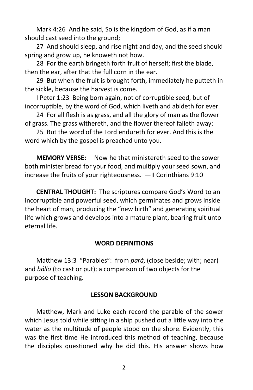Mark 4:26 And he said, So is the kingdom of God, as if a man should cast seed into the ground;

27 And should sleep, and rise night and day, and the seed should spring and grow up, he knoweth not how.

28 For the earth bringeth forth fruit of herself; first the blade, then the ear, after that the full corn in the ear.

29 But when the fruit is brought forth, immediately he putteth in the sickle, because the harvest is come.

I Peter 1:23 Being born again, not of corruptible seed, but of incorruptible, by the word of God, which liveth and abideth for ever.

24 For all flesh is as grass, and all the glory of man as the flower of grass. The grass withereth, and the flower thereof falleth away:

25 But the word of the Lord endureth for ever. And this is the word which by the gospel is preached unto you.

**MEMORY VERSE:** Now he that ministereth seed to the sower both minister bread for your food, and multiply your seed sown, and increase the fruits of your righteousness. —II Corinthians 9:10

**CENTRAL THOUGHT:** The scriptures compare God's Word to an incorruptible and powerful seed, which germinates and grows inside the heart of man, producing the "new birth" and generating spiritual life which grows and develops into a mature plant, bearing fruit unto eternal life.

# **WORD DEFINITIONS**

Matthew 13:3 "Parables": from *pará*, (close beside; with; near) and *bállō* (to cast or put); a comparison of two objects for the purpose of teaching.

#### **LESSON BACKGROUND**

Matthew, Mark and Luke each record the parable of the sower which Jesus told while sitting in a ship pushed out a little way into the water as the multitude of people stood on the shore. Evidently, this was the first time He introduced this method of teaching, because the disciples questioned why he did this. His answer shows how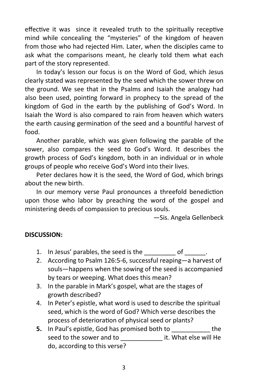effective it was since it revealed truth to the spiritually receptive mind while concealing the "mysteries" of the kingdom of heaven from those who had rejected Him. Later, when the disciples came to ask what the comparisons meant, he clearly told them what each part of the story represented.

In today's lesson our focus is on the Word of God, which Jesus clearly stated was represented by the seed which the sower threw on the ground. We see that in the Psalms and Isaiah the analogy had also been used, pointing forward in prophecy to the spread of the kingdom of God in the earth by the publishing of God's Word. In Isaiah the Word is also compared to rain from heaven which waters the earth causing germination of the seed and a bountiful harvest of food.

Another parable, which was given following the parable of the sower, also compares the seed to God's Word. It describes the growth process of God's kingdom, both in an individual or in whole groups of people who receive God's Word into their lives.

Peter declares how it is the seed, the Word of God, which brings about the new birth.

In our memory verse Paul pronounces a threefold benediction upon those who labor by preaching the word of the gospel and ministering deeds of compassion to precious souls.

—Sis. Angela Gellenbeck

# **DISCUSSION:**

- 1. In Jesus' parables, the seed is the discussed of the set of the set of the set of  $\sim$
- 2. According to Psalm 126:5-6, successful reaping—a harvest of souls—happens when the sowing of the seed is accompanied by tears or weeping. What does this mean?
- 3. In the parable in Mark's gospel, what are the stages of growth described?
- 4. In Peter's epistle, what word is used to describe the spiritual seed, which is the word of God? Which verse describes the process of deterioration of physical seed or plants?
- **5.** In Paul's epistle, God has promised both to the seed to the sower and to **Example 20** it. What else will He do, according to this verse?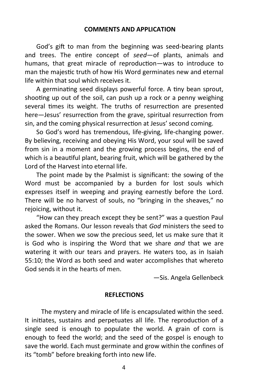God's gift to man from the beginning was seed-bearing plants and trees. The entire concept of *seed*—of plants, animals and humans, that great miracle of reproduction—was to introduce to man the majestic truth of how His Word germinates new and eternal life within that soul which receives it.

A germinating seed displays powerful force. A tiny bean sprout, shooting up out of the soil, can push up a rock or a penny weighing several times its weight. The truths of resurrection are presented here—Jesus' resurrection from the grave, spiritual resurrection from sin, and the coming physical resurrection at Jesus' second coming.

So God's word has tremendous, life-giving, life-changing power. By believing, receiving and obeying His Word, your soul will be saved from sin in a moment and the growing process begins, the end of which is a beautiful plant, bearing fruit, which will be gathered by the Lord of the Harvest into eternal life.

The point made by the Psalmist is significant: the sowing of the Word must be accompanied by a burden for lost souls which expresses itself in weeping and praying earnestly before the Lord. There will be no harvest of souls, no "bringing in the sheaves," no rejoicing, without it.

"How can they preach except they be sent?" was a question Paul asked the Romans. Our lesson reveals that *God* ministers the seed to the sower. When we sow the precious seed, let us make sure that it is God who is inspiring the Word that we share *and* that we are watering it with our tears and prayers. He waters too, as in Isaiah 55:10; the Word as both seed and water accomplishes that whereto God sends it in the hearts of men.

—Sis. Angela Gellenbeck

#### **REFLECTIONS**

 The mystery and miracle of life is encapsulated within the seed. It initiates, sustains and perpetuates all life. The reproduction of a single seed is enough to populate the world. A grain of corn is enough to feed the world; and the seed of the gospel is enough to save the world. Each must germinate and grow within the confines of its "tomb" before breaking forth into new life.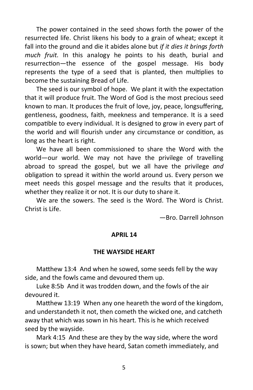The power contained in the seed shows forth the power of the resurrected life. Christ likens his body to a grain of wheat; except it fall into the ground and die it abides alone but *if it dies it brings forth much fruit.* In this analogy he points to his death, burial and resurrection—the essence of the gospel message. His body represents the type of a seed that is planted, then multiplies to become the sustaining Bread of Life.

The seed is our symbol of hope. We plant it with the expectation that it will produce fruit. The Word of God is the most precious seed known to man. It produces the fruit of love, joy, peace, longsuffering, gentleness, goodness, faith, meekness and temperance. It is a seed compatible to every individual. It is designed to grow in every part of the world and will flourish under any circumstance or condition, as long as the heart is right.

We have all been commissioned to share the Word with the world—our world. We may not have the privilege of travelling abroad to spread the gospel, but we all have the privilege *and*  obligation to spread it within the world around us. Every person we meet needs this gospel message and the results that it produces, whether they realize it or not. It is our duty to share it.

We are the sowers. The seed is the Word. The Word is Christ. Christ is Life.

—Bro. Darrell Johnson

#### **APRIL 14**

#### **THE WAYSIDE HEART**

Matthew 13:4 And when he sowed, some seeds fell by the way side, and the fowls came and devoured them up.

Luke 8:5b And it was trodden down, and the fowls of the air devoured it.

Matthew 13:19 When any one heareth the word of the kingdom, and understandeth it not, then cometh the wicked one, and catcheth away that which was sown in his heart. This is he which received seed by the wayside.

Mark 4:15 And these are they by the way side, where the word is sown; but when they have heard, Satan cometh immediately, and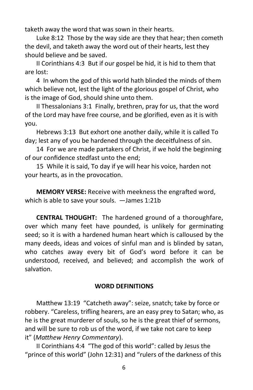taketh away the word that was sown in their hearts.

Luke 8:12 Those by the way side are they that hear; then cometh the devil, and taketh away the word out of their hearts, lest they should believe and be saved.

II Corinthians 4:3 But if our gospel be hid, it is hid to them that are lost:

4 In whom the god of this world hath blinded the minds of them which believe not, lest the light of the glorious gospel of Christ, who is the image of God, should shine unto them.

II Thessalonians 3:1 Finally, brethren, pray for us, that the word of the Lord may have free course, and be glorified, even as it is with you.

Hebrews 3:13 But exhort one another daily, while it is called To day; lest any of you be hardened through the deceitfulness of sin.

14 For we are made partakers of Christ, if we hold the beginning of our confidence stedfast unto the end;

15 While it is said, To day if ye will hear his voice, harden not your hearts, as in the provocation.

**MEMORY VERSE:** Receive with meekness the engrafted word, which is able to save your souls. —James 1:21b

**CENTRAL THOUGHT:** The hardened ground of a thoroughfare, over which many feet have pounded, is unlikely for germinating seed; so it is with a hardened human heart which is calloused by the many deeds, ideas and voices of sinful man and is blinded by satan, who catches away every bit of God's word before it can be understood, received, and believed; and accomplish the work of salvation.

# **WORD DEFINITIONS**

Matthew 13:19 "Catcheth away": seize, snatch; take by force or robbery. "Careless, trifling hearers, are an easy prey to Satan; who, as he is the great murderer of souls, so he is the great thief of sermons, and will be sure to rob us of the word, if we take not care to keep it" (*Matthew Henry Commentary*).

II Corinthians 4:4 "The god of this world": called by Jesus the "prince of this world" (John 12:31) and "rulers of the darkness of this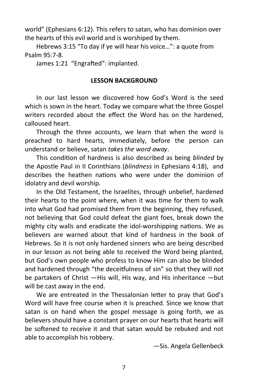world" (Ephesians 6:12). This refers to satan, who has dominion over the hearts of this evil world and is worshiped by them.

Hebrews 3:15 "To day if ye will hear his voice…": a quote from Psalm 95:7-8.

James 1:21 "Engrafted": implanted.

#### **LESSON BACKGROUND**

In our last lesson we discovered how God's Word is the seed which is sown in the heart. Today we compare what the three Gospel writers recorded about the effect the Word has on the hardened, calloused heart.

Through the three accounts, we learn that when the word is preached to hard hearts, immediately, before the person can understand or believe, satan *takes the word away*.

This condition of hardness is also described as being *blinded* by the Apostle Paul in II Corinthians (*blindness* in Ephesians 4:18), and describes the heathen nations who were under the dominion of idolatry and devil worship.

In the Old Testament, the Israelites, through unbelief, hardened their hearts to the point where, when it was time for them to walk into what God had promised them from the beginning, they refused, not believing that God could defeat the giant foes, break down the mighty city walls and eradicate the idol-worshipping nations. We as believers are warned about that kind of hardness in the book of Hebrews. So it is not only hardened sinners who are being described in our lesson as not being able to received the Word being planted, but God's own people who profess to know Him can also be blinded and hardened through "the deceitfulness of sin" so that they will not be partakers of Christ —His will, His way, and His inheritance —but will be cast away in the end.

We are entreated in the Thessalonian letter to pray that God's Word will have free course when it is preached. Since we know that satan is on hand when the gospel message is going forth, we as believers should have a constant prayer on our hearts that hearts will be softened to receive it and that satan would be rebuked and not able to accomplish his robbery.

—Sis. Angela Gellenbeck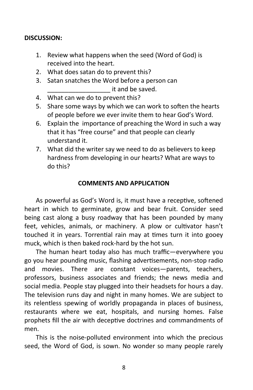#### **DISCUSSION:**

- 1. Review what happens when the seed (Word of God) is received into the heart.
- 2. What does satan do to prevent this?
- 3. Satan snatches the Word before a person can \_\_\_\_\_\_\_\_\_\_\_\_\_\_\_\_\_\_ it and be saved.
- 4. What can we do to prevent this?
- 5. Share some ways by which we can work to soften the hearts of people before we ever invite them to hear God's Word.
- 6. Explain the importance of preaching the Word in such a way that it has "free course" and that people can clearly understand it.
- 7. What did the writer say we need to do as believers to keep hardness from developing in our hearts? What are ways to do this?

#### **COMMENTS AND APPLICATION**

As powerful as God's Word is, it must have a receptive, softened heart in which to germinate, grow and bear fruit. Consider seed being cast along a busy roadway that has been pounded by many feet, vehicles, animals, or machinery. A plow or cultivator hasn't touched it in years. Torrential rain may at times turn it into gooey muck, which is then baked rock-hard by the hot sun.

The human heart today also has much traffic—everywhere you go you hear pounding music, flashing advertisements, non-stop radio and movies. There are constant voices—parents, teachers, professors, business associates and friends; the news media and social media. People stay plugged into their headsets for hours a day. The television runs day and night in many homes. We are subject to its relentless spewing of worldly propaganda in places of business, restaurants where we eat, hospitals, and nursing homes. False prophets fill the air with deceptive doctrines and commandments of men.

This is the noise-polluted environment into which the precious seed, the Word of God, is sown. No wonder so many people rarely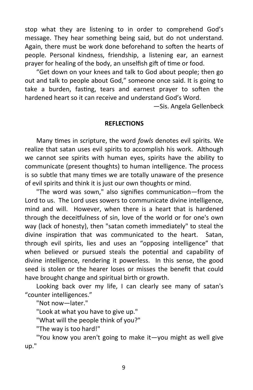stop what they are listening to in order to comprehend God's message. They hear something being said, but do not understand. Again, there must be work done beforehand to soften the hearts of people. Personal kindness, friendship, a listening ear, an earnest prayer for healing of the body, an unselfish gift of time or food.

"Get down on your knees and talk to God about people; then go out and talk to people about God," someone once said. It is going to take a burden, fasting, tears and earnest prayer to soften the hardened heart so it can receive and understand God's Word.

—Sis. Angela Gellenbeck

#### **REFLECTIONS**

Many times in scripture, the word *fowls* denotes evil spirits. We realize that satan uses evil spirits to accomplish his work. Although we cannot see spirits with human eyes, spirits have the ability to communicate (present thoughts) to human intelligence. The process is so subtle that many times we are totally unaware of the presence of evil spirits and think it is just our own thoughts or mind.

"The word was sown," also signifies communication—from the Lord to us. The Lord uses sowers to communicate divine intelligence, mind and will. However, when there is a heart that is hardened through the deceitfulness of sin, love of the world or for one's own way (lack of honesty), then "satan cometh immediately" to steal the divine inspiration that was communicated to the heart. Satan, through evil spirits, lies and uses an "opposing intelligence" that when believed or pursued steals the potential and capability of divine intelligence, rendering it powerless. In this sense, the good seed is stolen or the hearer loses or misses the benefit that could have brought change and spiritual birth or growth.

Looking back over my life, I can clearly see many of satan's "counter intelligences."

"Not now—later."

"Look at what you have to give up."

"What will the people think of you?"

"The way is too hard!"

"You know you aren't going to make it—you might as well give up."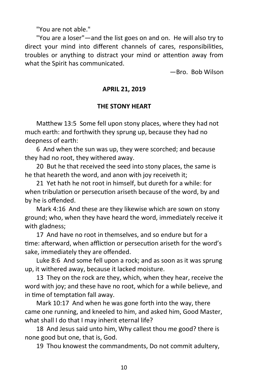"You are not able."

"You are a loser"—and the list goes on and on. He will also try to direct your mind into different channels of cares, responsibilities, troubles or anything to distract your mind or attention away from what the Spirit has communicated.

—Bro. Bob Wilson

#### **APRIL 21, 2019**

#### **THE STONY HEART**

Matthew 13:5 Some fell upon stony places, where they had not much earth: and forthwith they sprung up, because they had no deepness of earth:

6 And when the sun was up, they were scorched; and because they had no root, they withered away.

20 But he that received the seed into stony places, the same is he that heareth the word, and anon with joy receiveth it;

21 Yet hath he not root in himself, but dureth for a while: for when tribulation or persecution ariseth because of the word, by and by he is offended.

Mark 4:16 And these are they likewise which are sown on stony ground; who, when they have heard the word, immediately receive it with gladness;

17 And have no root in themselves, and so endure but for a time: afterward, when affliction or persecution ariseth for the word's sake, immediately they are offended.

Luke 8:6 And some fell upon a rock; and as soon as it was sprung up, it withered away, because it lacked moisture.

13 They on the rock are they, which, when they hear, receive the word with joy; and these have no root, which for a while believe, and in time of temptation fall away.

Mark 10:17 And when he was gone forth into the way, there came one running, and kneeled to him, and asked him, Good Master, what shall I do that I may inherit eternal life?

18 And Jesus said unto him, Why callest thou me good? there is none good but one, that is, God.

19 Thou knowest the commandments, Do not commit adultery,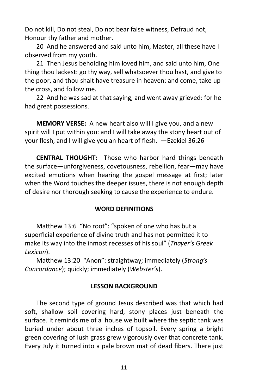Do not kill, Do not steal, Do not bear false witness, Defraud not, Honour thy father and mother.

20 And he answered and said unto him, Master, all these have I observed from my youth.

21 Then Jesus beholding him loved him, and said unto him, One thing thou lackest: go thy way, sell whatsoever thou hast, and give to the poor, and thou shalt have treasure in heaven: and come, take up the cross, and follow me.

22 And he was sad at that saying, and went away grieved: for he had great possessions.

**MEMORY VERSE:** A new heart also will I give you, and a new spirit will I put within you: and I will take away the stony heart out of your flesh, and I will give you an heart of flesh. —Ezekiel 36:26

**CENTRAL THOUGHT:** Those who harbor hard things beneath the surface—unforgiveness, covetousness, rebellion, fear—may have excited emotions when hearing the gospel message at first; later when the Word touches the deeper issues, there is not enough depth of desire nor thorough seeking to cause the experience to endure.

#### **WORD DEFINITIONS**

Matthew 13:6 "No root": "spoken of one who has but a superficial experience of divine truth and has not permitted it to make its way into the inmost recesses of his soul" (*Thayer's Greek Lexicon*).

Matthew 13:20 "Anon": straightway; immediately (*Strong's Concordance*); quickly; immediately (*Webster's*).

#### **LESSON BACKGROUND**

The second type of ground Jesus described was that which had soft, shallow soil covering hard, stony places just beneath the surface. It reminds me of a house we built where the septic tank was buried under about three inches of topsoil. Every spring a bright green covering of lush grass grew vigorously over that concrete tank. Every July it turned into a pale brown mat of dead fibers. There just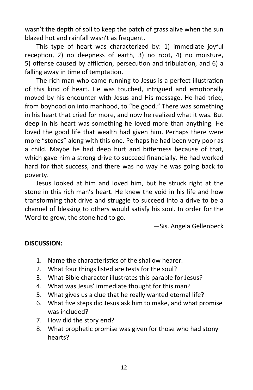wasn't the depth of soil to keep the patch of grass alive when the sun blazed hot and rainfall wasn't as frequent.

This type of heart was characterized by: 1) immediate joyful reception, 2) no deepness of earth, 3) no root, 4) no moisture, 5) offense caused by affliction, persecution and tribulation, and 6) a falling away in time of temptation.

The rich man who came running to Jesus is a perfect illustration of this kind of heart. He was touched, intrigued and emotionally moved by his encounter with Jesus and His message. He had tried, from boyhood on into manhood, to "be good." There was something in his heart that cried for more, and now he realized what it was. But deep in his heart was something he loved more than anything. He loved the good life that wealth had given him. Perhaps there were more "stones" along with this one. Perhaps he had been very poor as a child. Maybe he had deep hurt and bitterness because of that, which gave him a strong drive to succeed financially. He had worked hard for that success, and there was no way he was going back to poverty.

Jesus looked at him and loved him, but he struck right at the stone in this rich man's heart. He knew the void in his life and how transforming that drive and struggle to succeed into a drive to be a channel of blessing to others would satisfy his soul. In order for the Word to grow, the stone had to go.

—Sis. Angela Gellenbeck

# **DISCUSSION:**

- 1. Name the characteristics of the shallow hearer.
- 2. What four things listed are tests for the soul?
- 3. What Bible character illustrates this parable for Jesus?
- 4. What was Jesus' immediate thought for this man?
- 5. What gives us a clue that he really wanted eternal life?
- 6. What five steps did Jesus ask him to make, and what promise was included?
- 7. How did the story end?
- 8. What prophetic promise was given for those who had stony hearts?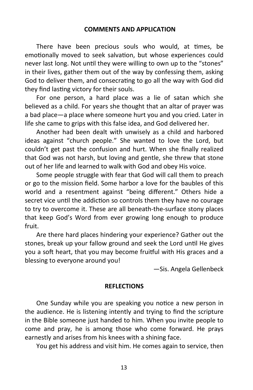There have been precious souls who would, at times, be emotionally moved to seek salvation, but whose experiences could never last long. Not until they were willing to own up to the "stones" in their lives, gather them out of the way by confessing them, asking God to deliver them, and consecrating to go all the way with God did they find lasting victory for their souls.

For one person, a hard place was a lie of satan which she believed as a child. For years she thought that an altar of prayer was a bad place—a place where someone hurt you and you cried. Later in life she came to grips with this false idea, and God delivered her.

Another had been dealt with unwisely as a child and harbored ideas against "church people." She wanted to love the Lord, but couldn't get past the confusion and hurt. When she finally realized that God was not harsh, but loving and gentle, she threw that stone out of her life and learned to walk with God and obey His voice.

Some people struggle with fear that God will call them to preach or go to the mission field. Some harbor a love for the baubles of this world and a resentment against "being different." Others hide a secret vice until the addiction so controls them they have no courage to try to overcome it. These are all beneath-the-surface stony places that keep God's Word from ever growing long enough to produce fruit.

Are there hard places hindering your experience? Gather out the stones, break up your fallow ground and seek the Lord until He gives you a soft heart, that you may become fruitful with His graces and a blessing to everyone around you!

—Sis. Angela Gellenbeck

#### **REFLECTIONS**

One Sunday while you are speaking you notice a new person in the audience. He is listening intently and trying to find the scripture in the Bible someone just handed to him. When you invite people to come and pray, he is among those who come forward. He prays earnestly and arises from his knees with a shining face.

You get his address and visit him. He comes again to service, then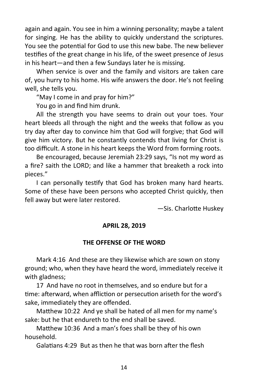again and again. You see in him a winning personality; maybe a talent for singing. He has the ability to quickly understand the scriptures. You see the potential for God to use this new babe. The new believer testifies of the great change in his life, of the sweet presence of Jesus in his heart—and then a few Sundays later he is missing.

When service is over and the family and visitors are taken care of, you hurry to his home. His wife answers the door. He's not feeling well, she tells you.

"May I come in and pray for him?"

You go in and find him drunk.

All the strength you have seems to drain out your toes. Your heart bleeds all through the night and the weeks that follow as you try day after day to convince him that God will forgive; that God will give him victory. But he constantly contends that living for Christ is too difficult. A stone in his heart keeps the Word from forming roots.

Be encouraged, because Jeremiah 23:29 says, "Is not my word as a fire? saith the LORD; and like a hammer that breaketh a rock into pieces."

I can personally testify that God has broken many hard hearts. Some of these have been persons who accepted Christ quickly, then fell away but were later restored.

—Sis. Charlotte Huskey

# **APRIL 28, 2019**

# **THE OFFENSE OF THE WORD**

Mark 4:16 And these are they likewise which are sown on stony ground; who, when they have heard the word, immediately receive it with gladness;

17 And have no root in themselves, and so endure but for a time: afterward, when affliction or persecution ariseth for the word's sake, immediately they are offended.

Matthew 10:22 And ye shall be hated of all men for my name's sake: but he that endureth to the end shall be saved.

Matthew 10:36 And a man's foes shall be they of his own household.

Galatians 4:29 But as then he that was born after the flesh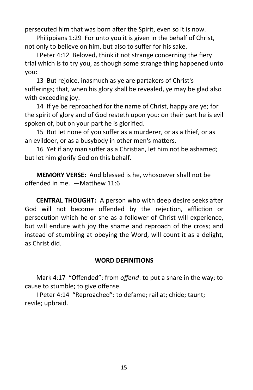persecuted him that was born after the Spirit, even so it is now.

Philippians 1:29 For unto you it is given in the behalf of Christ, not only to believe on him, but also to suffer for his sake.

I Peter 4:12 Beloved, think it not strange concerning the fiery trial which is to try you, as though some strange thing happened unto you:

13 But rejoice, inasmuch as ye are partakers of Christ's sufferings; that, when his glory shall be revealed, ye may be glad also with exceeding joy.

14 If ye be reproached for the name of Christ, happy are ye; for the spirit of glory and of God resteth upon you: on their part he is evil spoken of, but on your part he is glorified.

15 But let none of you suffer as a murderer, or as a thief, or as an evildoer, or as a busybody in other men's matters.

16 Yet if any man suffer as a Christian, let him not be ashamed; but let him glorify God on this behalf.

**MEMORY VERSE:** And blessed is he, whosoever shall not be offended in me. —Matthew 11:6

**CENTRAL THOUGHT:** A person who with deep desire seeks after God will not become offended by the rejection, affliction or persecution which he or she as a follower of Christ will experience, but will endure with joy the shame and reproach of the cross; and instead of stumbling at obeying the Word, will count it as a delight, as Christ did.

# **WORD DEFINITIONS**

Mark 4:17 "Offended": from *offend*: to put a snare in the way; to cause to stumble; to give offense.

I Peter 4:14 "Reproached": to defame; rail at; chide; taunt; revile; upbraid.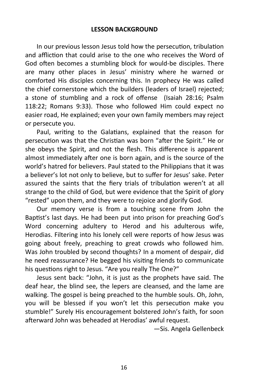In our previous lesson Jesus told how the persecution, tribulation and affliction that could arise to the one who receives the Word of God often becomes a stumbling block for would-be disciples. There are many other places in Jesus' ministry where he warned or comforted His disciples concerning this. In prophecy He was called the chief cornerstone which the builders (leaders of Israel) rejected; a stone of stumbling and a rock of offense (Isaiah 28:16; Psalm 118:22; Romans 9:33). Those who followed Him could expect no easier road, He explained; even your own family members may reject or persecute you.

Paul, writing to the Galatians, explained that the reason for persecution was that the Christian was born "after the Spirit." He or she obeys the Spirit, and not the flesh. This difference is apparent almost immediately after one is born again, and is the source of the world's hatred for believers. Paul stated to the Philippians that it was a believer's lot not only to believe, but to suffer for Jesus' sake. Peter assured the saints that the fiery trials of tribulation weren't at all strange to the child of God, but were evidence that the Spirit of glory "rested" upon them, and they were to rejoice and glorify God.

Our memory verse is from a touching scene from John the Baptist's last days. He had been put into prison for preaching God's Word concerning adultery to Herod and his adulterous wife, Herodias. Filtering into his lonely cell were reports of how Jesus was going about freely, preaching to great crowds who followed him. Was John troubled by second thoughts? In a moment of despair, did he need reassurance? He begged his visiting friends to communicate his questions right to Jesus. "Are you really The One?"

Jesus sent back: "John, it is just as the prophets have said. The deaf hear, the blind see, the lepers are cleansed, and the lame are walking. The gospel is being preached to the humble souls. Oh, John, you will be blessed if you won't let this persecution make you stumble!" Surely His encouragement bolstered John's faith, for soon afterward John was beheaded at Herodias' awful request.

—Sis. Angela Gellenbeck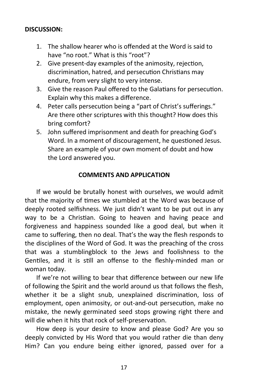# **DISCUSSION:**

- 1. The shallow hearer who is offended at the Word is said to have "no root." What is this "root"?
- 2. Give present-day examples of the animosity, rejection, discrimination, hatred, and persecution Christians may endure, from very slight to very intense.
- 3. Give the reason Paul offered to the Galatians for persecution. Explain why this makes a difference.
- 4. Peter calls persecution being a "part of Christ's sufferings." Are there other scriptures with this thought? How does this bring comfort?
- 5. John suffered imprisonment and death for preaching God's Word. In a moment of discouragement, he questioned Jesus. Share an example of your own moment of doubt and how the Lord answered you.

# **COMMENTS AND APPLICATION**

If we would be brutally honest with ourselves, we would admit that the majority of times we stumbled at the Word was because of deeply rooted selfishness. We just didn't want to be put out in any way to be a Christian. Going to heaven and having peace and forgiveness and happiness sounded like a good deal, but when it came to suffering, then no deal. That's the way the flesh responds to the disciplines of the Word of God. It was the preaching of the cross that was a stumblingblock to the Jews and foolishness to the Gentiles, and it is still an offense to the fleshly-minded man or woman today.

If we're not willing to bear that difference between our new life of following the Spirit and the world around us that follows the flesh, whether it be a slight snub, unexplained discrimination, loss of employment, open animosity, or out-and-out persecution, make no mistake, the newly germinated seed stops growing right there and will die when it hits that rock of self-preservation.

How deep is your desire to know and please God? Are you so deeply convicted by His Word that you would rather die than deny Him? Can you endure being either ignored, passed over for a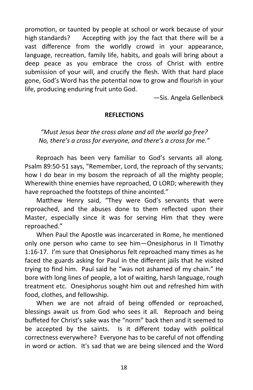promotion, or taunted by people at school or work because of your high standards? Accepting with joy the fact that there will be a vast difference from the worldly crowd in your appearance, language, recreation, family life, habits, and goals will bring about a deep peace as you embrace the cross of Christ with entire submission of your will, and crucify the flesh. With that hard place gone, God's Word has the potential now to grow and flourish in your life, producing enduring fruit unto God.

—Sis. Angela Gellenbeck

#### **REFLECTIONS**

*"Must Jesus bear the cross alone and all the world go free? No, there's a cross for everyone, and there's a cross for me."*

Reproach has been very familiar to God's servants all along. Psalm 89:50-51 says, "Remember, Lord, the reproach of thy servants; how I do bear in my bosom the reproach of all the mighty people; Wherewith thine enemies have reproached, O LORD; wherewith they have reproached the footsteps of thine anointed."

Matthew Henry said, "They were God's servants that were reproached, and the abuses done to them reflected upon their Master, especially since it was for serving Him that they were reproached."

When Paul the Apostle was incarcerated in Rome, he mentioned only one person who came to see him—Onesiphorus in II Timothy 1:16-17. I'm sure that Onesiphorus felt reproached many times as he faced the guards asking for Paul in the different jails that he visited trying to find him. Paul said he "was not ashamed of my chain." He bore with long lines of people, a lot of waiting, harsh language, rough treatment etc. Onesiphorus sought him out and refreshed him with food, clothes, and fellowship.

When we are not afraid of being offended or reproached, blessings await us from God who sees it all. Reproach and being buffeted for Christ's sake was the "norm" back then and it seemed to be accepted by the saints. Is it different today with political correctness everywhere? Everyone has to be careful of not offending in word or action. It's sad that we are being silenced and the Word

18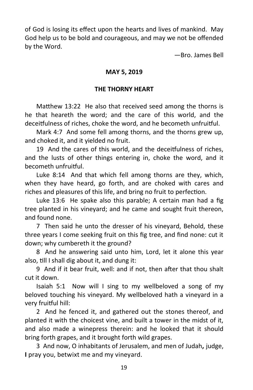of God is losing its effect upon the hearts and lives of mankind. May God help us to be bold and courageous, and may we not be offended by the Word.

—Bro. James Bell

# **MAY 5, 2019**

# **THE THORNY HEART**

Matthew 13:22 He also that received seed among the thorns is he that heareth the word; and the care of this world, and the deceitfulness of riches, choke the word, and he becometh unfruitful.

Mark 4:7 And some fell among thorns, and the thorns grew up, and choked it, and it yielded no fruit.

19 And the cares of this world, and the deceitfulness of riches, and the lusts of other things entering in, choke the word, and it becometh unfruitful.

Luke 8:14 And that which fell among thorns are they, which, when they have heard, go forth, and are choked with cares and riches and pleasures of this life, and bring no fruit to perfection.

Luke 13:6 He spake also this parable; A certain man had a fig tree planted in his vineyard; and he came and sought fruit thereon, and found none.

7 Then said he unto the dresser of his vineyard, Behold, these three years I come seeking fruit on this fig tree, and find none: cut it down; why cumbereth it the ground?

8 And he answering said unto him, Lord, let it alone this year also, till I shall dig about it, and dung it:

9 And if it bear fruit, well: and if not, then after that thou shalt cut it down.

Isaiah 5:1 Now will I sing to my wellbeloved a song of my beloved touching his vineyard. My wellbeloved hath a vineyard in a very fruitful hill:

2 And he fenced it, and gathered out the stones thereof, and planted it with the choicest vine, and built a tower in the midst of it, and also made a winepress therein: and he looked that it should bring forth grapes, and it brought forth wild grapes.

3 And now, O inhabitants of Jerusalem, and men of Judah**,** judge, **I** pray you, betwixt me and my vineyard.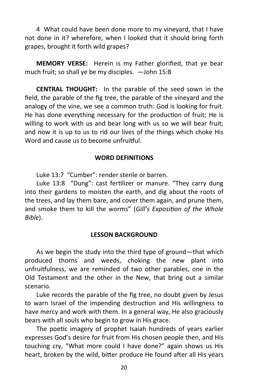4 What could have been done more to my vineyard, that I have not done in it? wherefore, when I looked that it should bring forth grapes, brought it forth wild grapes?

**MEMORY VERSE:** Herein is my Father glorified, that ye bear much fruit; so shall ye be my disciples. —John 15:8

**CENTRAL THOUGHT:** In the parable of the seed sown in the field, the parable of the fig tree, the parable of the vineyard and the analogy of the vine, we see a common truth: God is looking for fruit. He has done everything necessary for the production of fruit; He is willing to work with us and bear long with us so we will bear fruit; and now it is up to us to rid our lives of the things which choke His Word and cause us to become unfruitful.

#### **WORD DEFINITIONS**

Luke 13:7 "Cumber": render sterile or barren.

Luke 13:8 "Dung": cast fertilizer or manure. "They carry dung into their gardens to moisten the earth, and dig about the roots of the trees, and lay them bare, and cover them again, and prune them, and smoke them to kill the worms" (*Gill's Exposition of the Whole Bible*).

#### **LESSON BACKGROUND**

As we begin the study into the third type of ground—that which produced thorns and weeds, choking the new plant into unfruitfulness, we are reminded of two other parables, one in the Old Testament and the other in the New, that bring out a similar scenario.

Luke records the parable of the fig tree, no doubt given by Jesus to warn Israel of the impending destruction and His willingness to have mercy and work with them. In a general way, He also graciously bears with all souls who begin to grow in His grace.

The poetic imagery of prophet Isaiah hundreds of years earlier expresses God's desire for fruit from His chosen people then, and His touching cry, "What more could I have done?" again shows us His heart, broken by the wild, bitter produce He found after all His years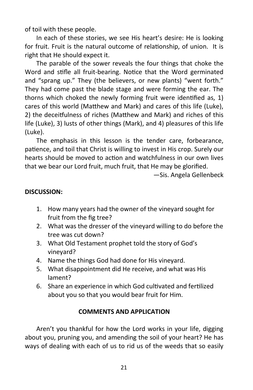of toil with these people.

In each of these stories, we see His heart's desire: He is looking for fruit. Fruit is the natural outcome of relationship, of union. It is right that He should expect it.

The parable of the sower reveals the four things that choke the Word and stifle all fruit-bearing. Notice that the Word germinated and "sprang up." They (the believers, or new plants) "went forth." They had come past the blade stage and were forming the ear. The thorns which choked the newly forming fruit were identified as, 1) cares of this world (Matthew and Mark) and cares of this life (Luke), 2) the deceitfulness of riches (Matthew and Mark) and riches of this life (Luke), 3) lusts of other things (Mark), and 4) pleasures of this life (Luke).

The emphasis in this lesson is the tender care, forbearance, patience, and toil that Christ is willing to invest in His crop. Surely our hearts should be moved to action and watchfulness in our own lives that we bear our Lord fruit, much fruit, that He may be glorified.

—Sis. Angela Gellenbeck

# **DISCUSSION:**

- 1. How many years had the owner of the vineyard sought for fruit from the fig tree?
- 2. What was the dresser of the vineyard willing to do before the tree was cut down?
- 3. What Old Testament prophet told the story of God's vineyard?
- 4. Name the things God had done for His vineyard.
- 5. What disappointment did He receive, and what was His lament?
- 6. Share an experience in which God cultivated and fertilized about you so that you would bear fruit for Him.

# **COMMENTS AND APPLICATION**

Aren't you thankful for how the Lord works in your life, digging about you, pruning you, and amending the soil of your heart? He has ways of dealing with each of us to rid us of the weeds that so easily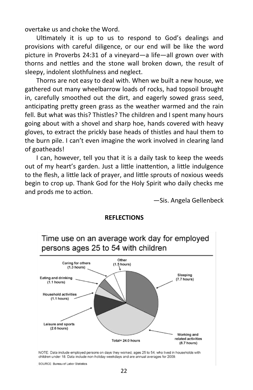overtake us and choke the Word.

Ultimately it is up to us to respond to God's dealings and provisions with careful diligence, or our end will be like the word picture in Proverbs 24:31 of a vineyard—a life—all grown over with thorns and nettles and the stone wall broken down, the result of sleepy, indolent slothfulness and neglect.

Thorns are not easy to deal with. When we built a new house, we gathered out many wheelbarrow loads of rocks, had topsoil brought in, carefully smoothed out the dirt, and eagerly sowed grass seed, anticipating pretty green grass as the weather warmed and the rain fell. But what was this? Thistles? The children and I spent many hours going about with a shovel and sharp hoe, hands covered with heavy gloves, to extract the prickly base heads of thistles and haul them to the burn pile. I can't even imagine the work involved in clearing land of goatheads!

I can, however, tell you that it is a daily task to keep the weeds out of my heart's garden. Just a little inattention, a little indulgence to the flesh, a little lack of prayer, and little sprouts of noxious weeds begin to crop up. Thank God for the Holy Spirit who daily checks me and prods me to action.

—Sis. Angela Gellenbeck



#### **REFLECTIONS**

NOTE: Data include employed persons on days they worked, ages 25 to 54, who lived in households with children under 18. Data include non-holiday weekdays and are annual averages for 2009.

SOURCE: Bureau of Labor Statistics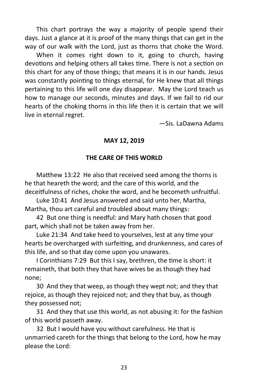This chart portrays the way a majority of people spend their days. Just a glance at it is proof of the many things that can get in the way of our walk with the Lord, just as thorns that choke the Word.

When it comes right down to it, going to church, having devotions and helping others all takes time. There is not a section on this chart for any of those things; that means it is in our hands. Jesus was constantly pointing to things eternal, for He knew that all things pertaining to this life will one day disappear. May the Lord teach us how to manage our seconds, minutes and days. If we fail to rid our hearts of the choking thorns in this life then it is certain that we will live in eternal regret.

—Sis. LaDawna Adams

# **MAY 12, 2019**

#### **THE CARE OF THIS WORLD**

Matthew 13:22 He also that received seed among the thorns is he that heareth the word; and the care of this world, and the deceitfulness of riches, choke the word, and he becometh unfruitful.

Luke 10:41 And Jesus answered and said unto her, Martha, Martha, thou art careful and troubled about many things:

42 But one thing is needful: and Mary hath chosen that good part, which shall not be taken away from her.

Luke 21:34 And take heed to yourselves, lest at any time your hearts be overcharged with surfeiting, and drunkenness, and cares of this life, and so that day come upon you unawares.

I Corinthians 7:29 But this I say, brethren, the time is short: it remaineth, that both they that have wives be as though they had none;

30 And they that weep, as though they wept not; and they that rejoice, as though they rejoiced not; and they that buy, as though they possessed not;

31 And they that use this world, as not abusing it: for the fashion of this world passeth away.

32 But I would have you without carefulness. He that is unmarried careth for the things that belong to the Lord, how he may please the Lord: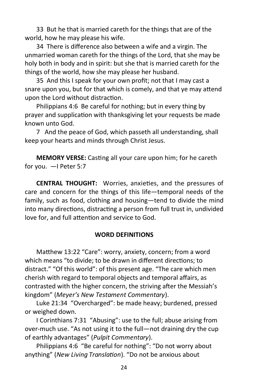33 But he that is married careth for the things that are of the world, how he may please his wife.

34 There is difference also between a wife and a virgin. The unmarried woman careth for the things of the Lord, that she may be holy both in body and in spirit: but she that is married careth for the things of the world, how she may please her husband.

35 And this I speak for your own profit; not that I may cast a snare upon you, but for that which is comely, and that ye may attend upon the Lord without distraction.

Philippians 4:6 Be careful for nothing; but in every thing by prayer and supplication with thanksgiving let your requests be made known unto God.

7 And the peace of God, which passeth all understanding, shall keep your hearts and minds through Christ Jesus.

**MEMORY VERSE:** Casting all your care upon him; for he careth for you. —I Peter 5:7

**CENTRAL THOUGHT:** Worries, anxieties, and the pressures of care and concern for the things of this life—temporal needs of the family, such as food, clothing and housing—tend to divide the mind into many directions, distracting a person from full trust in, undivided love for, and full attention and service to God.

# **WORD DEFINITIONS**

Matthew 13:22 "Care": worry, anxiety, concern; from a word which means "to divide; to be drawn in different directions; to distract." "Of this world": of this present age. "The care which men cherish with regard to temporal objects and temporal affairs, as contrasted with the higher concern, the striving after the Messiah's kingdom" (*Meyer's New Testament Commentary*).

Luke 21:34 "Overcharged": be made heavy; burdened, pressed or weighed down.

I Corinthians 7:31 "Abusing": use to the full; abuse arising from over-much use. "As not using it to the full—not draining dry the cup of earthly advantages" (*Pulpit Commentary*).

Philippians 4:6 "Be careful for nothing": "Do not worry about anything" (*New Living Translation*). "Do not be anxious about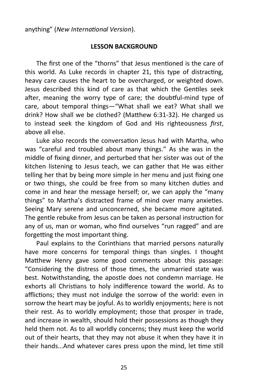anything" (*New International Version*).

#### **LESSON BACKGROUND**

The first one of the "thorns" that Jesus mentioned is the care of this world. As Luke records in chapter 21, this type of distracting, heavy care causes the heart to be overcharged, or weighted down. Jesus described this kind of care as that which the Gentiles seek after, meaning the worry type of care; the doubtful-mind type of care, about temporal things—"What shall we eat? What shall we drink? How shall we be clothed? (Matthew 6:31-32). He charged us to instead seek the kingdom of God and His righteousness *first*, above all else.

Luke also records the conversation Jesus had with Martha, who was "careful and troubled about many things." As she was in the middle of fixing dinner, and perturbed that her sister was out of the kitchen listening to Jesus teach, we can gather that He was either telling her that by being more simple in her menu and just fixing one or two things, she could be free from so many kitchen duties and come in and hear the message herself; or, we can apply the "many things" to Martha's distracted frame of mind over many anxieties. Seeing Mary serene and unconcerned, she became more agitated. The gentle rebuke from Jesus can be taken as personal instruction for any of us, man or woman, who find ourselves "run ragged" and are forgetting the most important thing.

Paul explains to the Corinthians that married persons naturally have more concerns for temporal things than singles. I thought Matthew Henry gave some good comments about this passage: "Considering the distress of those times, the unmarried state was best. Notwithstanding, the apostle does not condemn marriage. He exhorts all Christians to holy indifference toward the world. As to afflictions; they must not indulge the sorrow of the world: even in sorrow the heart may be joyful. As to worldly enjoyments; here is not their rest. As to worldly employment; those that prosper in trade, and increase in wealth, should hold their possessions as though they held them not. As to all worldly concerns; they must keep the world out of their hearts, that they may not abuse it when they have it in their hands...And whatever cares press upon the mind, let time still

25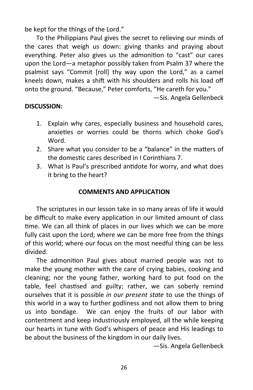be kept for the things of the Lord."

To the Philippians Paul gives the secret to relieving our minds of the cares that weigh us down: giving thanks and praying about everything. Peter also gives us the admonition to "cast" our cares upon the Lord—a metaphor possibly taken from Psalm 37 where the psalmist says "Commit [roll] thy way upon the Lord," as a camel kneels down, makes a shift with his shoulders and rolls his load off onto the ground. "Because," Peter comforts, "He careth for you."

—Sis. Angela Gellenbeck

# **DISCUSSION:**

- 1. Explain why cares, especially business and household cares, anxieties or worries could be thorns which choke God's Word.
- 2. Share what you consider to be a "balance" in the matters of the domestic cares described in I Corinthians 7.
- 3. What is Paul's prescribed antidote for worry, and what does it bring to the heart?

#### **COMMENTS AND APPLICATION**

The scriptures in our lesson take in so many areas of life it would be difficult to make every application in our limited amount of class time. We can all think of places in our lives which we can be more fully cast upon the Lord; where we can be more free from the things of this world; where our focus on the most needful thing can be less divided.

The admonition Paul gives about married people was not to make the young mother with the care of crying babies, cooking and cleaning; nor the young father, working hard to put food on the table, feel chastised and guilty; rather, we can soberly remind ourselves that it is possible *in our present state* to use the things of this world in a way to further godliness and not allow them to bring us into bondage. We can enjoy the fruits of our labor with contentment and keep industriously employed, all the while keeping our hearts in tune with God's whispers of peace and His leadings to be about the business of the kingdom in our daily lives.

—Sis. Angela Gellenbeck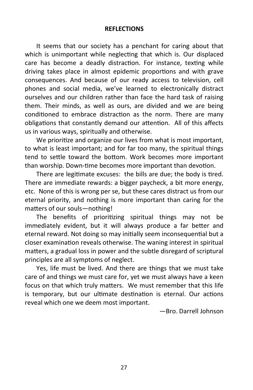#### **REFLECTIONS**

It seems that our society has a penchant for caring about that which is unimportant while neglecting that which is. Our displaced care has become a deadly distraction. For instance, texting while driving takes place in almost epidemic proportions and with grave consequences. And because of our ready access to television, cell phones and social media, we've learned to electronically distract ourselves and our children rather than face the hard task of raising them. Their minds, as well as ours, are divided and we are being conditioned to embrace distraction as the norm. There are many obligations that constantly demand our attention. All of this affects us in various ways, spiritually and otherwise.

We prioritize and organize our lives from what is most important, to what is least important; and for far too many, the spiritual things tend to settle toward the bottom. Work becomes more important than worship. Down-time becomes more important than devotion.

There are legitimate excuses: the bills are due; the body is tired. There are immediate rewards: a bigger paycheck, a bit more energy, etc. None of this is wrong per se, but these cares distract us from our eternal priority, and nothing is more important than caring for the matters of our souls—nothing!

The benefits of prioritizing spiritual things may not be immediately evident, but it will always produce a far better and eternal reward. Not doing so may initially seem inconsequential but a closer examination reveals otherwise. The waning interest in spiritual matters, a gradual loss in power and the subtle disregard of scriptural principles are all symptoms of neglect.

Yes, life must be lived. And there are things that we must take care of and things we must care for, yet we must always have a keen focus on that which truly matters. We must remember that this life is temporary, but our ultimate destination is eternal. Our actions reveal which one we deem most important.

—Bro. Darrell Johnson

27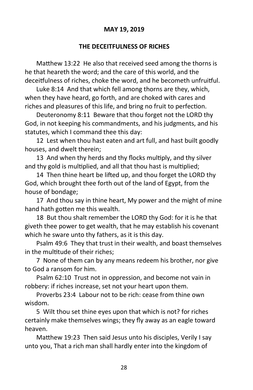# **MAY 19, 2019**

# **THE DECEITFULNESS OF RICHES**

Matthew 13:22 He also that received seed among the thorns is he that heareth the word; and the care of this world, and the deceitfulness of riches, choke the word, and he becometh unfruitful.

Luke 8:14 And that which fell among thorns are they, which, when they have heard, go forth, and are choked with cares and riches and pleasures of this life, and bring no fruit to perfection.

Deuteronomy 8:11 Beware that thou forget not the LORD thy God, in not keeping his commandments, and his judgments, and his statutes, which I command thee this day:

12 Lest when thou hast eaten and art full, and hast built goodly houses, and dwelt therein;

13 And when thy herds and thy flocks multiply, and thy silver and thy gold is multiplied, and all that thou hast is multiplied;

14 Then thine heart be lifted up, and thou forget the LORD thy God, which brought thee forth out of the land of Egypt, from the house of bondage;

17 And thou say in thine heart, My power and the might of mine hand hath gotten me this wealth.

18 But thou shalt remember the LORD thy God: for it is he that giveth thee power to get wealth, that he may establish his covenant which he sware unto thy fathers, as it is this day.

Psalm 49:6 They that trust in their wealth, and boast themselves in the multitude of their riches;

7 None of them can by any means redeem his brother, nor give to God a ransom for him.

Psalm 62:10 Trust not in oppression, and become not vain in robbery: if riches increase, set not your heart upon them.

Proverbs 23:4 Labour not to be rich: cease from thine own wisdom.

5 Wilt thou set thine eyes upon that which is not? for riches certainly make themselves wings; they fly away as an eagle toward heaven.

Matthew 19:23 Then said Jesus unto his disciples, Verily I say unto you, That a rich man shall hardly enter into the kingdom of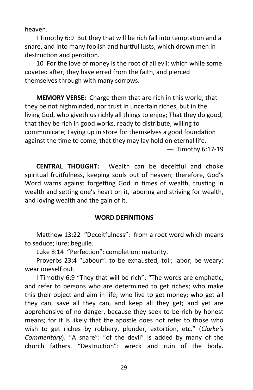heaven.

I Timothy 6:9 But they that will be rich fall into temptation and a snare, and into many foolish and hurtful lusts, which drown men in destruction and perdition.

10 For the love of money is the root of all evil: which while some coveted after, they have erred from the faith, and pierced themselves through with many sorrows.

**MEMORY VERSE:** Charge them that are rich in this world, that they be not highminded, nor trust in uncertain riches, but in the living God, who giveth us richly all things to enjoy; That they do good, that they be rich in good works, ready to distribute, willing to communicate; Laying up in store for themselves a good foundation against the time to come, that they may lay hold on eternal life. —I Timothy 6:17-19

**CENTRAL THOUGHT:** Wealth can be deceitful and choke spiritual fruitfulness, keeping souls out of heaven; therefore, God's Word warns against forgetting God in times of wealth, trusting in wealth and setting one's heart on it, laboring and striving for wealth, and loving wealth and the gain of it.

#### **WORD DEFINITIONS**

Matthew 13:22 "Deceitfulness": from a root word which means to seduce; lure; beguile.

Luke 8:14 "Perfection": completion; maturity.

Proverbs 23:4 "Labour": to be exhausted; toil; labor; be weary; wear oneself out.

I Timothy 6:9 "They that will be rich": "The words are emphatic, and refer to persons who are determined to get riches; who make this their object and aim in life; who live to get money; who get all they can, save all they can, and keep all they get; and yet are apprehensive of no danger, because they seek to be rich by honest means; for it is likely that the apostle does not refer to those who wish to get riches by robbery, plunder, extortion, etc." (*Clarke's Commentary*). "A snare": "of the devil" is added by many of the church fathers. "Destruction": wreck and ruin of the body.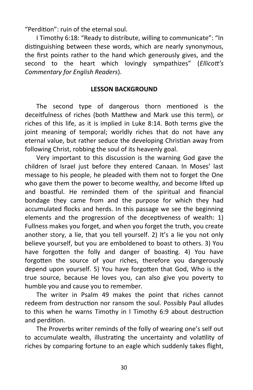"Perdition": ruin of the eternal soul.

I Timothy 6:18: "Ready to distribute, willing to communicate": "In distinguishing between these words, which are nearly synonymous, the first points rather to the hand which generously gives, and the second to the heart which lovingly sympathizes" (*Ellicott's Commentary for English Readers*).

#### **LESSON BACKGROUND**

The second type of dangerous thorn mentioned is the deceitfulness of riches (both Matthew and Mark use this term), or riches of this life, as it is implied in Luke 8:14. Both terms give the joint meaning of temporal; worldly riches that do not have any eternal value, but rather seduce the developing Christian away from following Christ, robbing the soul of its heavenly goal.

Very important to this discussion is the warning God gave the children of Israel just before they entered Canaan. In Moses' last message to his people, he pleaded with them not to forget the One who gave them the power to become wealthy, and become lifted up and boastful. He reminded them of the spiritual and financial bondage they came from and the purpose for which they had accumulated flocks and herds. In this passage we see the beginning elements and the progression of the deceptiveness of wealth: 1) Fullness makes you forget, and when you forget the truth, you create another story, a lie, that you tell yourself. 2) It's a lie you not only believe yourself, but you are emboldened to boast to others. 3) You have forgotten the folly and danger of boasting. 4) You have forgotten the source of your riches, therefore you dangerously depend upon yourself. 5) You have forgotten that God, Who is the true source, because He loves you, can also give you poverty to humble you and cause you to remember.

The writer in Psalm 49 makes the point that riches cannot redeem from destruction nor ransom the soul. Possibly Paul alludes to this when he warns Timothy in I Timothy 6:9 about destruction and perdition.

The Proverbs writer reminds of the folly of wearing one's self out to accumulate wealth, illustrating the uncertainty and volatility of riches by comparing fortune to an eagle which suddenly takes flight,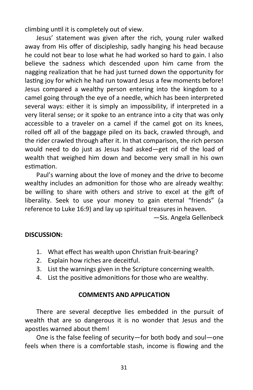climbing until it is completely out of view.

Jesus' statement was given after the rich, young ruler walked away from His offer of discipleship, sadly hanging his head because he could not bear to lose what he had worked so hard to gain. I also believe the sadness which descended upon him came from the nagging realization that he had just turned down the opportunity for lasting joy for which he had run toward Jesus a few moments before! Jesus compared a wealthy person entering into the kingdom to a camel going through the eye of a needle, which has been interpreted several ways: either it is simply an impossibility, if interpreted in a very literal sense; or it spoke to an entrance into a city that was only accessible to a traveler on a camel if the camel got on its knees, rolled off all of the baggage piled on its back, crawled through, and the rider crawled through after it. In that comparison, the rich person would need to do just as Jesus had asked—get rid of the load of wealth that weighed him down and become very small in his own estimation.

Paul's warning about the love of money and the drive to become wealthy includes an admonition for those who are already wealthy: be willing to share with others and strive to excel at the gift of liberality. Seek to use your money to gain eternal "friends" (a reference to Luke 16:9) and lay up spiritual treasures in heaven.

—Sis. Angela Gellenbeck

# **DISCUSSION:**

- 1. What effect has wealth upon Christian fruit-bearing?
- 2. Explain how riches are deceitful.
- 3. List the warnings given in the Scripture concerning wealth.
- 4. List the positive admonitions for those who are wealthy.

#### **COMMENTS AND APPLICATION**

There are several deceptive lies embedded in the pursuit of wealth that are so dangerous it is no wonder that Jesus and the apostles warned about them!

One is the false feeling of security—for both body and soul—one feels when there is a comfortable stash, income is flowing and the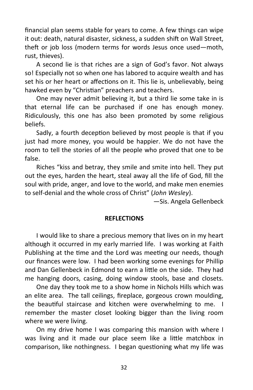financial plan seems stable for years to come. A few things can wipe it out: death, natural disaster, sickness, a sudden shift on Wall Street, theft or job loss (modern terms for words Jesus once used—moth, rust, thieves).

A second lie is that riches are a sign of God's favor. Not always so! Especially not so when one has labored to acquire wealth and has set his or her heart or affections on it. This lie is, unbelievably, being hawked even by "Christian" preachers and teachers.

One may never admit believing it, but a third lie some take in is that eternal life can be purchased if one has enough money. Ridiculously, this one has also been promoted by some religious beliefs.

Sadly, a fourth deception believed by most people is that if you just had more money, you would be happier. We do not have the room to tell the stories of all the people who proved that one to be false.

Riches "kiss and betray, they smile and smite into hell. They put out the eyes, harden the heart, steal away all the life of God, fill the soul with pride, anger, and love to the world, and make men enemies to self-denial and the whole cross of Christ" (*John Wesley*).

—Sis. Angela Gellenbeck

#### **REFLECTIONS**

I would like to share a precious memory that lives on in my heart although it occurred in my early married life. I was working at Faith Publishing at the time and the Lord was meeting our needs, though our finances were low. I had been working some evenings for Phillip and Dan Gellenbeck in Edmond to earn a little on the side. They had me hanging doors, casing, doing window stools, base and closets.

One day they took me to a show home in Nichols Hills which was an elite area. The tall ceilings, fireplace, gorgeous crown moulding, the beautiful staircase and kitchen were overwhelming to me. I remember the master closet looking bigger than the living room where we were living.

On my drive home I was comparing this mansion with where I was living and it made our place seem like a little matchbox in comparison, like nothingness. I began questioning what my life was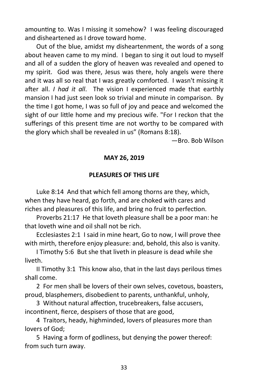amounting to. Was I missing it somehow? I was feeling discouraged and disheartened as I drove toward home.

Out of the blue, amidst my disheartenment, the words of a song about heaven came to my mind. I began to sing it out loud to myself and all of a sudden the glory of heaven was revealed and opened to my spirit. God was there, Jesus was there, holy angels were there and it was all so real that I was greatly comforted. I wasn't missing it after all. *I had it all*. The vision I experienced made that earthly mansion I had just seen look so trivial and minute in comparison. By the time I got home, I was so full of joy and peace and welcomed the sight of our little home and my precious wife. "For I reckon that the sufferings of this present time are not worthy to be compared with the glory which shall be revealed in us" (Romans 8:18).

—Bro. Bob Wilson

# **MAY 26, 2019**

# **PLEASURES OF THIS LIFE**

Luke 8:14 And that which fell among thorns are they, which, when they have heard, go forth, and are choked with cares and riches and pleasures of this life, and bring no fruit to perfection.

Proverbs 21:17 He that loveth pleasure shall be a poor man: he that loveth wine and oil shall not be rich.

Ecclesiastes 2:1 I said in mine heart, Go to now, I will prove thee with mirth, therefore enjoy pleasure: and, behold, this also is vanity.

I Timothy 5:6 But she that liveth in pleasure is dead while she liveth.

II Timothy 3:1 This know also, that in the last days perilous times shall come.

2 For men shall be lovers of their own selves, covetous, boasters, proud, blasphemers, disobedient to parents, unthankful, unholy,

3 Without natural affection, trucebreakers, false accusers, incontinent, fierce, despisers of those that are good,

4 Traitors, heady, highminded, lovers of pleasures more than lovers of God;

5 Having a form of godliness, but denying the power thereof: from such turn away.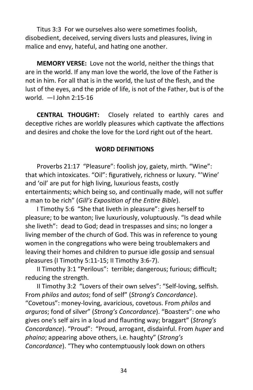Titus 3:3 For we ourselves also were sometimes foolish, disobedient, deceived, serving divers lusts and pleasures, living in malice and envy, hateful, and hating one another.

**MEMORY VERSE:** Love not the world, neither the things that are in the world. If any man love the world, the love of the Father is not in him. For all that is in the world, the lust of the flesh, and the lust of the eyes, and the pride of life, is not of the Father, but is of the world. —I John 2:15-16

**CENTRAL THOUGHT:** Closely related to earthly cares and deceptive riches are worldly pleasures which captivate the affections and desires and choke the love for the Lord right out of the heart.

# **WORD DEFINITIONS**

Proverbs 21:17 "Pleasure": foolish joy, gaiety, mirth. "Wine": that which intoxicates. "Oil": figuratively, richness or luxury. "'Wine' and 'oil' are put for high living, luxurious feasts, costly entertainments; which being so, and continually made, will not suffer a man to be rich" (*Gill's Exposition of the Entire Bible*).

I Timothy 5:6 "She that liveth in pleasure": gives herself to pleasure; to be wanton; live luxuriously, voluptuously. "Is dead while she liveth": dead to God; dead in trespasses and sins; no longer a living member of the church of God. This was in reference to young women in the congregations who were being troublemakers and leaving their homes and children to pursue idle gossip and sensual pleasures (I Timothy 5:11-15; II Timothy 3:6-7).

II Timothy 3:1 "Perilous": terrible; dangerous; furious; difficult; reducing the strength.

II Timothy 3:2 "Lovers of their own selves": "Self-loving, selfish. From *philos* and *autos*; fond of self" (*Strong's Concordance*). "Covetous": money-loving, avaricious, covetous. From *philos* and *arguros*; fond of silver" (*Strong's Concordance*). "Boasters": one who gives one's self airs in a loud and flaunting way; braggart" (*Strong's Concordance*). "Proud": "Proud, arrogant, disdainful. From *huper* and *phaino*; appearing above others, i.e. haughty" (*Strong's Concordance*). "They who contemptuously look down on others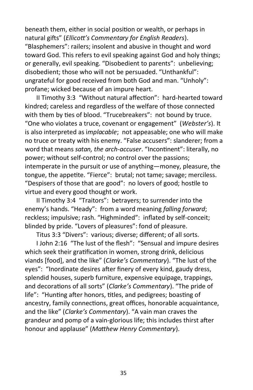beneath them, either in social position or wealth, or perhaps in natural gifts" (*Ellicott's Commentary for English Readers*). "Blasphemers": railers; insolent and abusive in thought and word toward God. This refers to evil speaking against God and holy things; or generally, evil speaking. "Disobedient to parents": unbelieving; disobedient; those who will not be persuaded. "Unthankful": ungrateful for good received from both God and man. "Unholy": profane; wicked because of an impure heart.

II Timothy 3:3 "Without natural affection": hard-hearted toward kindred; careless and regardless of the welfare of those connected with them by ties of blood. "Trucebreakers": not bound by truce. "One who violates a truce, covenant or engagement" (*Webster's*). It is also interpreted as i*mplacable*; not appeasable; one who will make no truce or treaty with his enemy. "False accusers": slanderer; from a word that means *satan, the arch-accuser*. "Incontinent": literally, no power; without self-control; no control over the passions; intemperate in the pursuit or use of anything—money, pleasure, the tongue, the appetite. "Fierce": brutal; not tame; savage; merciless. "Despisers of those that are good": no lovers of good; hostile to virtue and every good thought or work.

II Timothy 3:4 "Traitors": betrayers; to surrender into the enemy's hands. "Heady": from a word meaning *falling forward*; reckless; impulsive; rash. "Highminded": inflated by self-conceit; blinded by pride. "Lovers of pleasures": fond of pleasure.

Titus 3:3 "Divers": various; diverse; different; of all sorts.

I John 2:16 "The lust of the flesh": "Sensual and impure desires which seek their gratification in women, strong drink, delicious viands [food], and the like" (*Clarke's Commentary*). "The lust of the eyes": "Inordinate desires after finery of every kind, gaudy dress, splendid houses, superb furniture, expensive equipage, trappings, and decorations of all sorts" (*Clarke's Commentary*). "The pride of life": "Hunting after honors, titles, and pedigrees; boasting of ancestry, family connections, great offices, honorable acquaintance, and the like" (*Clarke's Commentary*). "A vain man craves the grandeur and pomp of a vain-glorious life; this includes thirst after honour and applause" (*Matthew Henry Commentary*).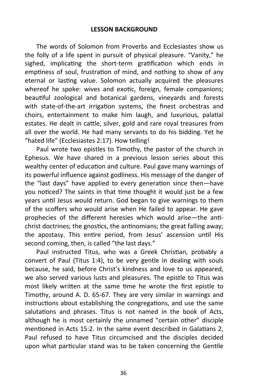The words of Solomon from Proverbs and Ecclesiastes show us the folly of a life spent in pursuit of physical pleasure. "Vanity," he sighed, implicating the short-term gratification which ends in emptiness of soul, frustration of mind, and nothing to show of any eternal or lasting value. Solomon actually acquired the pleasures whereof he spoke: wives and exotic, foreign, female companions; beautiful zoological and botanical gardens, vineyards and forests with state-of-the-art irrigation systems, the finest orchestras and choirs, entertainment to make him laugh, and luxurious, palatial estates. He dealt in cattle, silver, gold and rare royal treasures from all over the world. He had many servants to do his bidding. Yet he "hated life" (Ecclesiastes 2:17). How telling!

Paul wrote two epistles to Timothy, the pastor of the church in Ephesus. We have shared in a previous lesson series about this wealthy center of education and culture. Paul gave many warnings of its powerful influence against godliness. His message of the danger of the "last days" have applied to every generation since then—have you noticed? The saints in that time thought it would just be a few years until Jesus would return. God began to give warnings to them of the scoffers who would arise when He failed to appear. He gave prophecies of the different heresies which would arise—the antichrist doctrines; the gnostics, the antinomians; the great falling away; the apostasy. This entire period, from Jesus' ascension until His second coming, then, is called "the last days."

Paul instructed Titus, who was a Greek Christian, probably a convert of Paul (Titus 1:4), to be very gentle in dealing with souls because, he said, before Christ's kindness and love to us appeared, we also served various lusts and pleasures. The epistle to Titus was most likely written at the same time he wrote the first epistle to Timothy, around A. D. 65-67. They are very similar in warnings and instructions about establishing the congregations, and use the same salutations and phrases. Titus is not named in the book of Acts, although he is most certainly the unnamed "certain other" disciple mentioned in Acts 15:2. In the same event described in Galatians 2, Paul refused to have Titus circumcised and the disciples decided upon what particular stand was to be taken concerning the Gentile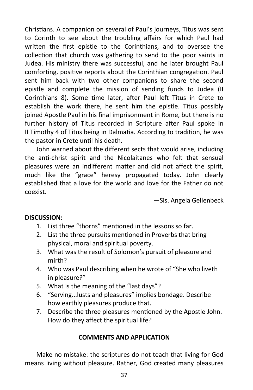Christians. A companion on several of Paul's journeys, Titus was sent to Corinth to see about the troubling affairs for which Paul had written the first epistle to the Corinthians, and to oversee the collection that church was gathering to send to the poor saints in Judea. His ministry there was successful, and he later brought Paul comforting, positive reports about the Corinthian congregation. Paul sent him back with two other companions to share the second epistle and complete the mission of sending funds to Judea (II Corinthians 8). Some time later, after Paul left Titus in Crete to establish the work there, he sent him the epistle. Titus possibly joined Apostle Paul in his final imprisonment in Rome, but there is no further history of Titus recorded in Scripture after Paul spoke in II Timothy 4 of Titus being in Dalmatia. According to tradition, he was the pastor in Crete until his death.

John warned about the different sects that would arise, including the anti-christ spirit and the Nicolaitanes who felt that sensual pleasures were an indifferent matter and did not affect the spirit, much like the "grace" heresy propagated today. John clearly established that a love for the world and love for the Father do not coexist.

—Sis. Angela Gellenbeck

# **DISCUSSION:**

- 1. List three "thorns" mentioned in the lessons so far.
- 2. List the three pursuits mentioned in Proverbs that bring physical, moral and spiritual poverty.
- 3. What was the result of Solomon's pursuit of pleasure and mirth?
- 4. Who was Paul describing when he wrote of "She who liveth in pleasure?"
- 5. What is the meaning of the "last days"?
- 6. "Serving...lusts and pleasures" implies bondage. Describe how earthly pleasures produce that.
- 7. Describe the three pleasures mentioned by the Apostle John. How do they affect the spiritual life?

# **COMMENTS AND APPLICATION**

Make no mistake: the scriptures do not teach that living for God means living without pleasure. Rather, God created many pleasures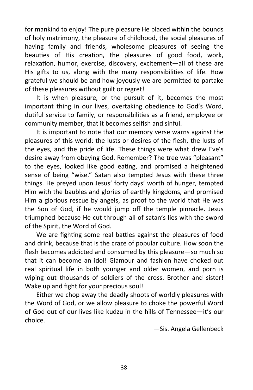for mankind to enjoy! The pure pleasure He placed within the bounds of holy matrimony, the pleasure of childhood, the social pleasures of having family and friends, wholesome pleasures of seeing the beauties of His creation, the pleasures of good food, work, relaxation, humor, exercise, discovery, excitement—all of these are His gifts to us, along with the many responsibilities of life. How grateful we should be and how joyously we are permitted to partake of these pleasures without guilt or regret!

It is when pleasure, or the pursuit of it, becomes the most important thing in our lives, overtaking obedience to God's Word, dutiful service to family, or responsibilities as a friend, employee or community member, that it becomes selfish and sinful.

It is important to note that our memory verse warns against the pleasures of this world: the lusts or desires of the flesh, the lusts of the eyes, and the pride of life. These things were what drew Eve's desire away from obeying God. Remember? The tree was "pleasant" to the eyes, looked like good eating, and promised a heightened sense of being "wise." Satan also tempted Jesus with these three things. He preyed upon Jesus' forty days' worth of hunger, tempted Him with the baubles and glories of earthly kingdoms, and promised Him a glorious rescue by angels, as proof to the world that He was the Son of God, if he would jump off the temple pinnacle. Jesus triumphed because He cut through all of satan's lies with the sword of the Spirit, the Word of God.

We are fighting some real battles against the pleasures of food and drink, because that is the craze of popular culture. How soon the flesh becomes addicted and consumed by this pleasure—so much so that it can become an idol! Glamour and fashion have choked out real spiritual life in both younger and older women, and porn is wiping out thousands of soldiers of the cross. Brother and sister! Wake up and fight for your precious soul!

Either we chop away the deadly shoots of worldly pleasures with the Word of God, or we allow pleasure to choke the powerful Word of God out of our lives like kudzu in the hills of Tennessee—it's our choice.

—Sis. Angela Gellenbeck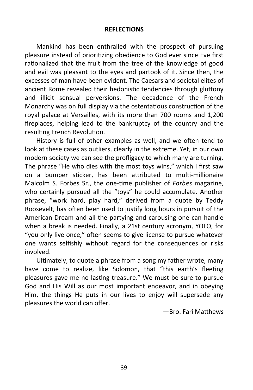#### **REFLECTIONS**

Mankind has been enthralled with the prospect of pursuing pleasure instead of prioritizing obedience to God ever since Eve first rationalized that the fruit from the tree of the knowledge of good and evil was pleasant to the eyes and partook of it. Since then, the excesses of man have been evident. The Caesars and societal elites of ancient Rome revealed their hedonistic tendencies through gluttony and illicit sensual perversions. The decadence of the French Monarchy was on full display via the ostentatious construction of the royal palace at Versailles, with its more than 700 rooms and 1,200 fireplaces, helping lead to the bankruptcy of the country and the resulting French Revolution.

History is full of other examples as well, and we often tend to look at these cases as outliers, clearly in the extreme. Yet, in our own modern society we can see the profligacy to which many are turning. The phrase "He who dies with the most toys wins," which I first saw on a bumper sticker, has been attributed to multi-millionaire Malcolm S. Forbes Sr., the one-time publisher of *Forbes* magazine, who certainly pursued all the "toys" he could accumulate. Another phrase, "work hard, play hard," derived from a quote by Teddy Roosevelt, has often been used to justify long hours in pursuit of the American Dream and all the partying and carousing one can handle when a break is needed. Finally, a 21st century acronym, YOLO, for "you only live once," often seems to give license to pursue whatever one wants selfishly without regard for the consequences or risks involved.

Ultimately, to quote a phrase from a song my father wrote, many have come to realize, like Solomon, that "this earth's fleeting pleasures gave me no lasting treasure." We must be sure to pursue God and His Will as our most important endeavor, and in obeying Him, the things He puts in our lives to enjoy will supersede any pleasures the world can offer.

—Bro. Fari Matthews

39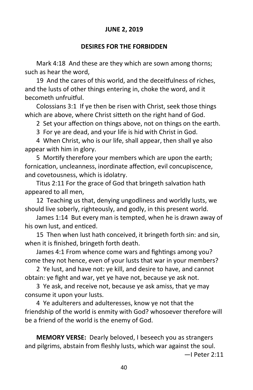# **JUNE 2, 2019**

#### **DESIRES FOR THE FORBIDDEN**

Mark 4:18 And these are they which are sown among thorns; such as hear the word,

19 And the cares of this world, and the deceitfulness of riches, and the lusts of other things entering in, choke the word, and it becometh unfruitful.

Colossians 3:1 If ye then be risen with Christ, seek those things which are above, where Christ sitteth on the right hand of God.

2 Set your affection on things above, not on things on the earth.

3 For ye are dead, and your life is hid with Christ in God.

4 When Christ, who is our life, shall appear, then shall ye also appear with him in glory.

5 Mortify therefore your members which are upon the earth; fornication, uncleanness, inordinate affection, evil concupiscence, and covetousness, which is idolatry.

Titus 2:11 For the grace of God that bringeth salvation hath appeared to all men,

12 Teaching us that, denying ungodliness and worldly lusts, we should live soberly, righteously, and godly, in this present world.

James 1:14 But every man is tempted, when he is drawn away of his own lust, and enticed.

15 Then when lust hath conceived, it bringeth forth sin: and sin, when it is finished, bringeth forth death.

James 4:1 From whence come wars and fightings among you? come they not hence, even of your lusts that war in your members?

2 Ye lust, and have not: ye kill, and desire to have, and cannot obtain: ye fight and war, yet ye have not, because ye ask not.

3 Ye ask, and receive not, because ye ask amiss, that ye may consume it upon your lusts.

4 Ye adulterers and adulteresses, know ye not that the friendship of the world is enmity with God? whosoever therefore will be a friend of the world is the enemy of God.

**MEMORY VERSE:** Dearly beloved, I beseech you as strangers and pilgrims, abstain from fleshly lusts, which war against the soul.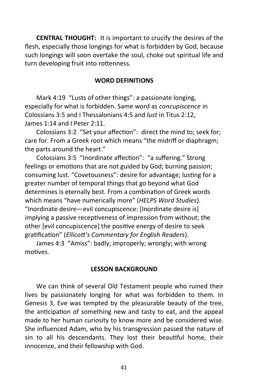**CENTRAL THOUGHT:** It is important to crucify the desires of the flesh, especially those longings for what is forbidden by God, because such longings will soon overtake the soul, choke out spiritual life and turn developing fruit into rottenness.

#### **WORD DEFINITIONS**

Mark 4:19 "Lusts of other things": a passionate longing, especially for what is forbidden. Same word as *concupiscence* in Colossians 3:5 and I Thessalonians 4:5 and *lust* in Titus 2:12, James 1:14 and I Peter 2:11.

Colossians 3:2 "Set your affection": direct the mind to; seek for; care for. From a Greek root which means "the midriff or diaphragm; the parts around the heart."

Colossians 3:5 "Inordinate affection": "a suffering." Strong feelings or emotions that are not guided by God; burning passion; consuming lust. "Covetousness": desire for advantage; lusting for a greater number of temporal things that go beyond what God determines is eternally best. From a combination of Greek words which means "have numerically more" (*HELPS Word Studies*). "Inordinate desire—evil concupiscence: [Inordinate desire is] implying a passive receptiveness of impression from without; the other [evil concupiscence] the positive energy of desire to seek gratification" (*Ellicott's Commentary for English Readers*).

James 4:3 "Amiss": badly; improperly; wrongly; with wrong motives.

#### **LESSON BACKGROUND**

We can think of several Old Testament people who ruined their lives by passionately longing for what was forbidden to them. In Genesis 3, Eve was tempted by the pleasurable beauty of the tree, the anticipation of something new and tasty to eat, and the appeal made to her human curiosity to know more and be considered wise. She influenced Adam, who by his transgression passed the nature of sin to all his descendants. They lost their beautiful home, their innocence, and their fellowship with God.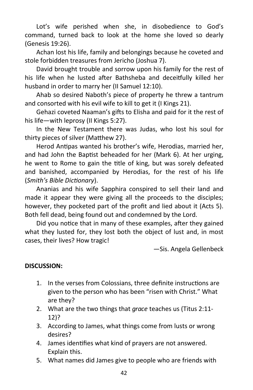Lot's wife perished when she, in disobedience to God's command, turned back to look at the home she loved so dearly (Genesis 19:26).

Achan lost his life, family and belongings because he coveted and stole forbidden treasures from Jericho (Joshua 7).

David brought trouble and sorrow upon his family for the rest of his life when he lusted after Bathsheba and deceitfully killed her husband in order to marry her (II Samuel 12:10).

Ahab so desired Naboth's piece of property he threw a tantrum and consorted with his evil wife to kill to get it (I Kings 21).

Gehazi coveted Naaman's gifts to Elisha and paid for it the rest of his life—with leprosy (II Kings 5:27).

In the New Testament there was Judas, who lost his soul for thirty pieces of silver (Matthew 27).

Herod Antipas wanted his brother's wife, Herodias, married her, and had John the Baptist beheaded for her (Mark 6). At her urging, he went to Rome to gain the title of king, but was sorely defeated and banished, accompanied by Herodias, for the rest of his life (*Smith's Bible Dictionary*).

Ananias and his wife Sapphira conspired to sell their land and made it appear they were giving all the proceeds to the disciples; however, they pocketed part of the profit and lied about it (Acts 5). Both fell dead, being found out and condemned by the Lord.

Did you notice that in many of these examples, after they gained what they lusted for, they lost both the object of lust and, in most cases, their lives? How tragic!

—Sis. Angela Gellenbeck

# **DISCUSSION:**

- 1. In the verses from Colossians, three definite instructions are given to the person who has been "risen with Christ." What are they?
- 2. What are the two things that *grace* teaches us (Titus 2:11- 12)?
- 3. According to James, what things come from lusts or wrong desires?
- 4. James identifies what kind of prayers are not answered. Explain this.
- 5. What names did James give to people who are friends with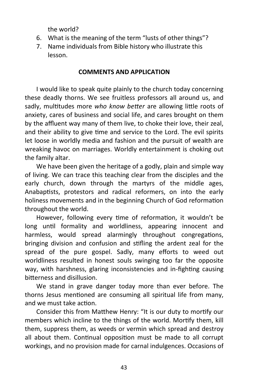the world?

- 6. What is the meaning of the term "lusts of other things"?
- 7. Name individuals from Bible history who illustrate this lesson.

#### **COMMENTS AND APPLICATION**

I would like to speak quite plainly to the church today concerning these deadly thorns. We see fruitless professors all around us, and sadly, multitudes more *who know better* are allowing little roots of anxiety, cares of business and social life, and cares brought on them by the affluent way many of them live, to choke their love, their zeal, and their ability to give time and service to the Lord. The evil spirits let loose in worldly media and fashion and the pursuit of wealth are wreaking havoc on marriages. Worldly entertainment is choking out the family altar.

We have been given the heritage of a godly, plain and simple way of living. We can trace this teaching clear from the disciples and the early church, down through the martyrs of the middle ages, Anabaptists, protestors and radical reformers, on into the early holiness movements and in the beginning Church of God reformation throughout the world.

However, following every time of reformation, it wouldn't be long until formality and worldliness, appearing innocent and harmless, would spread alarmingly throughout congregations, bringing division and confusion and stifling the ardent zeal for the spread of the pure gospel. Sadly, many efforts to weed out worldliness resulted in honest souls swinging too far the opposite way, with harshness, glaring inconsistencies and in-fighting causing bitterness and disillusion.

We stand in grave danger today more than ever before. The thorns Jesus mentioned are consuming all spiritual life from many, and we must take action.

Consider this from Matthew Henry: "It is our duty to mortify our members which incline to the things of the world. Mortify them, kill them, suppress them, as weeds or vermin which spread and destroy all about them. Continual opposition must be made to all corrupt workings, and no provision made for carnal indulgences. Occasions of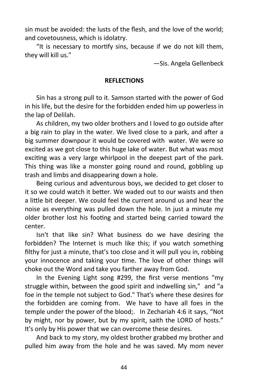sin must be avoided: the lusts of the flesh, and the love of the world; and covetousness, which is idolatry.

"It is necessary to mortify sins, because if we do not kill them, they will kill us."

—Sis. Angela Gellenbeck

# **REFLECTIONS**

Sin has a strong pull to it. Samson started with the power of God in his life, but the desire for the forbidden ended him up powerless in the lap of Delilah.

As children, my two older brothers and I loved to go outside after a big rain to play in the water. We lived close to a park, and after a big summer downpour it would be covered with water. We were so excited as we got close to this huge lake of water. But what was most exciting was a very large whirlpool in the deepest part of the park. This thing was like a monster going round and round, gobbling up trash and limbs and disappearing down a hole.

Being curious and adventurous boys, we decided to get closer to it so we could watch it better. We waded out to our waists and then a little bit deeper. We could feel the current around us and hear the noise as everything was pulled down the hole. In just a minute my older brother lost his footing and started being carried toward the center.

Isn't that like sin? What business do we have desiring the forbidden? The Internet is much like this; if you watch something filthy for just a minute, that's too close and it will pull you in, robbing your innocence and taking your time. The love of other things will choke out the Word and take you farther away from God.

In the Evening Light song #299, the first verse mentions "my struggle within, between the good spirit and indwelling sin," and "a foe in the temple not subject to God." That's where these desires for the forbidden are coming from. We have to have all foes in the temple under the power of the blood;. In Zechariah 4:6 it says, "Not by might, nor by power, but by my spirit, saith the LORD of hosts." It's only by His power that we can overcome these desires.

And back to my story, my oldest brother grabbed my brother and pulled him away from the hole and he was saved. My mom never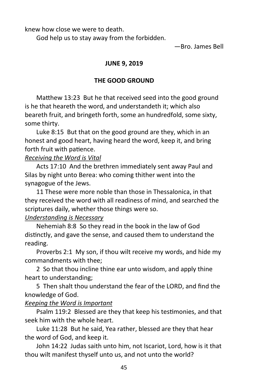knew how close we were to death.

God help us to stay away from the forbidden.

—Bro. James Bell

# **JUNE 9, 2019**

# **THE GOOD GROUND**

Matthew 13:23 But he that received seed into the good ground is he that heareth the word, and understandeth it; which also beareth fruit, and bringeth forth, some an hundredfold, some sixty, some thirty.

Luke 8:15 But that on the good ground are they, which in an honest and good heart, having heard the word, keep it, and bring forth fruit with patience.

# *Receiving the Word is Vital*

Acts 17:10 And the brethren immediately sent away Paul and Silas by night unto Berea: who coming thither went into the synagogue of the Jews.

11 These were more noble than those in Thessalonica, in that they received the word with all readiness of mind, and searched the scriptures daily, whether those things were so.

# *Understanding is Necessary*

Nehemiah 8:8 So they read in the book in the law of God distinctly, and gave the sense, and caused them to understand the reading.

Proverbs 2:1 My son, if thou wilt receive my words, and hide my commandments with thee;

2 So that thou incline thine ear unto wisdom, and apply thine heart to understanding;

5 Then shalt thou understand the fear of the LORD, and find the knowledge of God.

# *Keeping the Word is Important*

Psalm 119:2 Blessed are they that keep his testimonies, and that seek him with the whole heart.

Luke 11:28 But he said, Yea rather, blessed are they that hear the word of God, and keep it.

John 14:22 Judas saith unto him, not Iscariot, Lord, how is it that thou wilt manifest thyself unto us, and not unto the world?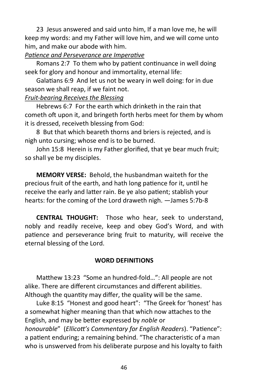23 Jesus answered and said unto him, If a man love me, he will keep my words: and my Father will love him, and we will come unto him, and make our abode with him.

# *Patience and Perseverance are Imperative*

Romans 2:7 To them who by patient continuance in well doing seek for glory and honour and immortality, eternal life:

Galatians 6:9 And let us not be weary in well doing: for in due season we shall reap, if we faint not.

# *Fruit-bearing Receives the Blessing*

Hebrews 6:7 For the earth which drinketh in the rain that cometh oft upon it, and bringeth forth herbs meet for them by whom it is dressed, receiveth blessing from God:

8 But that which beareth thorns and briers is rejected, and is nigh unto cursing; whose end is to be burned.

John 15:8 Herein is my Father glorified, that ye bear much fruit; so shall ye be my disciples.

**MEMORY VERSE:** Behold, the husbandman waiteth for the precious fruit of the earth, and hath long patience for it, until he receive the early and latter rain. Be ye also patient; stablish your hearts: for the coming of the Lord draweth nigh. —James 5:7b-8

**CENTRAL THOUGHT:** Those who hear, seek to understand, nobly and readily receive, keep and obey God's Word, and with patience and perseverance bring fruit to maturity, will receive the eternal blessing of the Lord.

# **WORD DEFINITIONS**

Matthew 13:23 "Some an hundred-fold…": All people are not alike. There are different circumstances and different abilities. Although the quantity may differ, the quality will be the same.

Luke 8:15 "Honest and good heart": "The Greek for 'honest' has a somewhat higher meaning than that which now attaches to the English, and may be better expressed by *noble* or *honourable*" (*Ellicott's Commentary for English Readers*). "Patience": a patient enduring; a remaining behind. "The characteristic of a man who is unswerved from his deliberate purpose and his loyalty to faith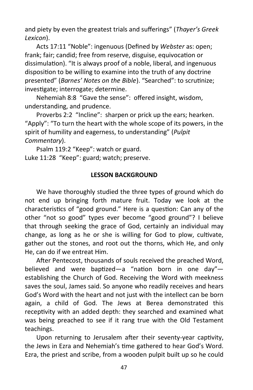and piety by even the greatest trials and sufferings" (*Thayer's Greek Lexicon*).

Acts 17:11 "Noble": ingenuous (Defined by *Webster* as: open; frank; fair; candid; free from reserve, disguise, equivocation or dissimulation). "It is always proof of a noble, liberal, and ingenuous disposition to be willing to examine into the truth of any doctrine presented" (*Barnes' Notes on the Bible*). "Searched": to scrutinize; investigate; interrogate; determine.

Nehemiah 8:8 "Gave the sense": offered insight, wisdom, understanding, and prudence.

Proverbs 2:2 "Incline": sharpen or prick up the ears; hearken. "Apply": "To turn the heart with the whole scope of its powers, in the spirit of humility and eagerness, to understanding" (*Pulpit Commentary*).

Psalm 119:2 "Keep": watch or guard. Luke 11:28 "Keep": guard; watch; preserve.

# **LESSON BACKGROUND**

We have thoroughly studied the three types of ground which do not end up bringing forth mature fruit. Today we look at the characteristics of "good ground." Here is a question: Can any of the other "not so good" types ever become "good ground"? I believe that through seeking the grace of God, certainly an individual may change, as long as he or she is willing for God to plow, cultivate, gather out the stones, and root out the thorns, which He, and only He, can do if we entreat Him.

After Pentecost, thousands of souls received the preached Word, believed and were baptized—a "nation born in one day" establishing the Church of God. Receiving the Word with meekness saves the soul, James said. So anyone who readily receives and hears God's Word with the heart and not just with the intellect can be born again, a child of God. The Jews at Berea demonstrated this receptivity with an added depth: they searched and examined what was being preached to see if it rang true with the Old Testament teachings.

Upon returning to Jerusalem after their seventy-year captivity, the Jews in Ezra and Nehemiah's time gathered to hear God's Word. Ezra, the priest and scribe, from a wooden pulpit built up so he could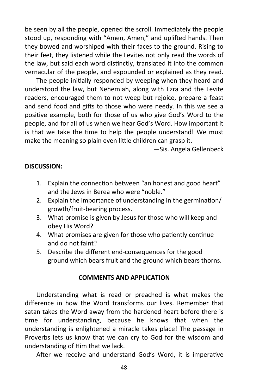be seen by all the people, opened the scroll. Immediately the people stood up, responding with "Amen, Amen," and uplifted hands. Then they bowed and worshiped with their faces to the ground. Rising to their feet, they listened while the Levites not only read the words of the law, but said each word distinctly, translated it into the common vernacular of the people, and expounded or explained as they read.

The people initially responded by weeping when they heard and understood the law, but Nehemiah, along with Ezra and the Levite readers, encouraged them to not weep but rejoice, prepare a feast and send food and gifts to those who were needy. In this we see a positive example, both for those of us who give God's Word to the people, and for all of us when we hear God's Word. How important it is that we take the time to help the people understand! We must make the meaning so plain even little children can grasp it.

—Sis. Angela Gellenbeck

# **DISCUSSION:**

- 1. Explain the connection between "an honest and good heart" and the Jews in Berea who were "noble."
- 2. Explain the importance of understanding in the germination/ growth/fruit-bearing process.
- 3. What promise is given by Jesus for those who will keep and obey His Word?
- 4. What promises are given for those who patiently continue and do not faint?
- 5. Describe the different end-consequences for the good ground which bears fruit and the ground which bears thorns.

#### **COMMENTS AND APPLICATION**

Understanding what is read or preached is what makes the difference in how the Word transforms our lives. Remember that satan takes the Word away from the hardened heart before there is time for understanding, because he knows that when the understanding is enlightened a miracle takes place! The passage in Proverbs lets us know that we can cry to God for the wisdom and understanding of Him that we lack.

After we receive and understand God's Word, it is imperative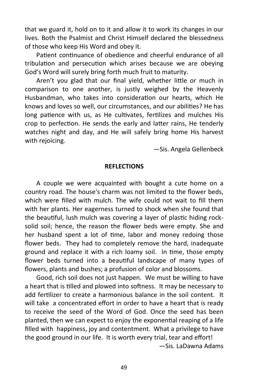that we guard it, hold on to it and allow it to work its changes in our lives. Both the Psalmist and Christ Himself declared the blessedness of those who keep His Word and obey it.

Patient continuance of obedience and cheerful endurance of all tribulation and persecution which arises because we are obeying God's Word will surely bring forth much fruit to maturity.

Aren't you glad that our final yield, whether little or much in comparison to one another, is justly weighed by the Heavenly Husbandman, who takes into consideration our hearts, which He knows and loves so well, our circumstances, and our abilities? He has long patience with us, as He cultivates, fertilizes and mulches His crop to perfection. He sends the early and latter rains, He tenderly watches night and day, and He will safely bring home His harvest with rejoicing.

—Sis. Angela Gellenbeck

#### **REFLECTIONS**

A couple we were acquainted with bought a cute home on a country road. The house's charm was not limited to the flower beds, which were filled with mulch. The wife could not wait to fill them with her plants. Her eagerness turned to shock when she found that the beautiful, lush mulch was covering a layer of plastic hiding rocksolid soil; hence, the reason the flower beds were empty. She and her husband spent a lot of time, labor and money redoing those flower beds. They had to completely remove the hard, inadequate ground and replace it with a rich loamy soil. In time, those empty flower beds turned into a beautiful landscape of many types of flowers, plants and bushes; a profusion of color and blossoms.

Good, rich soil does not just happen. We must be willing to have a heart that is tilled and plowed into softness. It may be necessary to add fertilizer to create a harmonious balance in the soil content. It will take a concentrated effort in order to have a heart that is ready to receive the seed of the Word of God. Once the seed has been planted, then we can expect to enjoy the exponential reaping of a life filled with happiness, joy and contentment. What a privilege to have the good ground in our life. It is worth every trial, tear and effort! —Sis. LaDawna Adams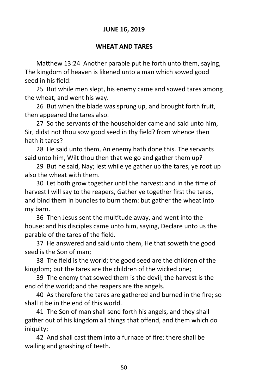# **JUNE 16, 2019**

# **WHEAT AND TARES**

Matthew 13:24 Another parable put he forth unto them, saying, The kingdom of heaven is likened unto a man which sowed good seed in his field:

25 But while men slept, his enemy came and sowed tares among the wheat, and went his way.

26 But when the blade was sprung up, and brought forth fruit, then appeared the tares also.

27 So the servants of the householder came and said unto him, Sir, didst not thou sow good seed in thy field? from whence then hath it tares?

28 He said unto them, An enemy hath done this. The servants said unto him, Wilt thou then that we go and gather them up?

29 But he said, Nay; lest while ye gather up the tares, ye root up also the wheat with them.

30 Let both grow together until the harvest: and in the time of harvest I will say to the reapers, Gather ye together first the tares, and bind them in bundles to burn them: but gather the wheat into my barn.

36 Then Jesus sent the multitude away, and went into the house: and his disciples came unto him, saying, Declare unto us the parable of the tares of the field.

37 He answered and said unto them, He that soweth the good seed is the Son of man;

38 The field is the world; the good seed are the children of the kingdom; but the tares are the children of the wicked one;

39 The enemy that sowed them is the devil; the harvest is the end of the world; and the reapers are the angels.

40 As therefore the tares are gathered and burned in the fire; so shall it be in the end of this world.

41 The Son of man shall send forth his angels, and they shall gather out of his kingdom all things that offend, and them which do iniquity;

42 And shall cast them into a furnace of fire: there shall be wailing and gnashing of teeth.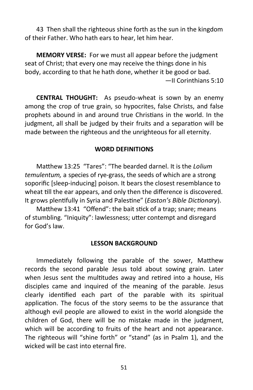43 Then shall the righteous shine forth as the sun in the kingdom of their Father. Who hath ears to hear, let him hear.

**MEMORY VERSE:** For we must all appear before the judgment seat of Christ; that every one may receive the things done in his body, according to that he hath done, whether it be good or bad. —II Corinthians 5:10

**CENTRAL THOUGHT:** As pseudo-wheat is sown by an enemy among the crop of true grain, so hypocrites, false Christs, and false prophets abound in and around true Christians in the world. In the judgment, all shall be judged by their fruits and a separation will be made between the righteous and the unrighteous for all eternity.

# **WORD DEFINITIONS**

Matthew 13:25 "Tares": "The bearded darnel. It is the *Lolium temulentum,* a species of rye-grass, the seeds of which are a strong soporific [sleep-inducing] poison. It bears the closest resemblance to wheat till the ear appears, and only then the difference is discovered. It grows plentifully in Syria and Palestine" (*Easton's Bible Dictionary*).

Matthew 13:41 "Offend": the bait stick of a trap; snare; means of stumbling. "Iniquity": lawlessness; utter contempt and disregard for God's law.

#### **LESSON BACKGROUND**

Immediately following the parable of the sower, Matthew records the second parable Jesus told about sowing grain. Later when Jesus sent the multitudes away and retired into a house, His disciples came and inquired of the meaning of the parable. Jesus clearly identified each part of the parable with its spiritual application. The focus of the story seems to be the assurance that although evil people are allowed to exist in the world alongside the children of God, there will be no mistake made in the judgment, which will be according to fruits of the heart and not appearance. The righteous will "shine forth" or "stand" (as in Psalm 1), and the wicked will be cast into eternal fire.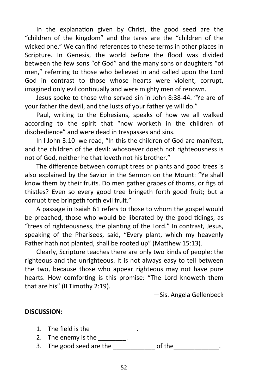In the explanation given by Christ, the good seed are the "children of the kingdom" and the tares are the "children of the wicked one." We can find references to these terms in other places in Scripture. In Genesis, the world before the flood was divided between the few sons "of God" and the many sons or daughters "of men," referring to those who believed in and called upon the Lord God in contrast to those whose hearts were violent, corrupt, imagined only evil continually and were mighty men of renown.

Jesus spoke to those who served sin in John 8:38-44. "Ye are of your father the devil, and the lusts of your father ye will do."

Paul, writing to the Ephesians, speaks of how we all walked according to the spirit that "now worketh in the children of disobedience" and were dead in trespasses and sins.

In I John 3:10 we read, "In this the children of God are manifest, and the children of the devil: whosoever doeth not righteousness is not of God, neither he that loveth not his brother."

The difference between corrupt trees or plants and good trees is also explained by the Savior in the Sermon on the Mount: "Ye shall know them by their fruits. Do men gather grapes of thorns, or figs of thistles? Even so every good tree bringeth forth good fruit; but a corrupt tree bringeth forth evil fruit."

A passage in Isaiah 61 refers to those to whom the gospel would be preached, those who would be liberated by the good tidings, as "trees of righteousness, the planting of the Lord." In contrast, Jesus, speaking of the Pharisees, said, "Every plant, which my heavenly Father hath not planted, shall be rooted up" (Matthew 15:13).

Clearly, Scripture teaches there are only two kinds of people: the righteous and the unrighteous. It is not always easy to tell between the two, because those who appear righteous may not have pure hearts. How comforting is this promise: "The Lord knoweth them that are his" (II Timothy 2:19).

—Sis. Angela Gellenbeck

# **DISCUSSION:**

- 1. The field is the \_\_\_\_\_\_\_\_\_\_\_\_\_\_.
- 2. The enemy is the  $\frac{1}{\sqrt{2\pi}}$ .
- 3. The good seed are the \_\_\_\_\_\_\_\_\_\_\_\_ of the\_\_\_\_\_\_\_\_\_\_\_\_\_.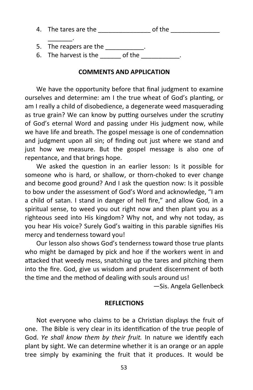| 4. The tares are the   | of the |  |
|------------------------|--------|--|
|                        |        |  |
| 5. The reapers are the |        |  |

6. The harvest is the \_\_\_\_\_\_\_\_\_ of the

# **COMMENTS AND APPLICATION**

We have the opportunity before that final judgment to examine ourselves and determine: am I the true wheat of God's planting, or am I really a child of disobedience, a degenerate weed masquerading as true grain? We can know by putting ourselves under the scrutiny of God's eternal Word and passing under His judgment now, while we have life and breath. The gospel message is one of condemnation and judgment upon all sin; of finding out just where we stand and just how we measure. But the gospel message is also one of repentance, and that brings hope.

We asked the question in an earlier lesson: Is it possible for someone who is hard, or shallow, or thorn-choked to ever change and become good ground? And I ask the question now: Is it possible to bow under the assessment of God's Word and acknowledge, "I am a child of satan. I stand in danger of hell fire," and allow God, in a spiritual sense, to weed you out right now and then plant you as a righteous seed into His kingdom? Why not, and why not today, as you hear His voice? Surely God's waiting in this parable signifies His mercy and tenderness toward you!

Our lesson also shows God's tenderness toward those true plants who might be damaged by pick and hoe if the workers went in and attacked that weedy mess, snatching up the tares and pitching them into the fire. God, give us wisdom and prudent discernment of both the time and the method of dealing with souls around us!

—Sis. Angela Gellenbeck

# **REFLECTIONS**

Not everyone who claims to be a Christian displays the fruit of one. The Bible is very clear in its identification of the true people of God. *Ye shall know them by their fruit.* In nature we identify each plant by sight. We can determine whether it is an orange or an apple tree simply by examining the fruit that it produces. It would be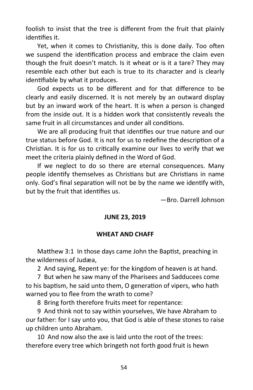foolish to insist that the tree is different from the fruit that plainly identifies it.

Yet, when it comes to Christianity, this is done daily. Too often we suspend the identification process and embrace the claim even though the fruit doesn't match. Is it wheat or is it a tare? They may resemble each other but each is true to its character and is clearly identifiable by what it produces.

God expects us to be different and for that difference to be clearly and easily discerned. It is not merely by an outward display but by an inward work of the heart. It is when a person is changed from the inside out. It is a hidden work that consistently reveals the same fruit in all circumstances and under all conditions.

We are all producing fruit that identifies our true nature and our true status before God. It is not for us to redefine the description of a Christian. It is for us to critically examine our lives to verify that we meet the criteria plainly defined in the Word of God.

If we neglect to do so there are eternal consequences. Many people identify themselves as Christians but are Christians in name only. God's final separation will not be by the name we identify with, but by the fruit that identifies us.

—Bro. Darrell Johnson

# **JUNE 23, 2019**

#### **WHEAT AND CHAFF**

Matthew 3:1 In those days came John the Baptist, preaching in the wilderness of Judæa,

2 And saying, Repent ye: for the kingdom of heaven is at hand.

7 But when he saw many of the Pharisees and Sadducees come to his baptism, he said unto them, O generation of vipers, who hath warned you to flee from the wrath to come?

8 Bring forth therefore fruits meet for repentance:

9 And think not to say within yourselves, We have Abraham to our father: for I say unto you, that God is able of these stones to raise up children unto Abraham.

10 And now also the axe is laid unto the root of the trees: therefore every tree which bringeth not forth good fruit is hewn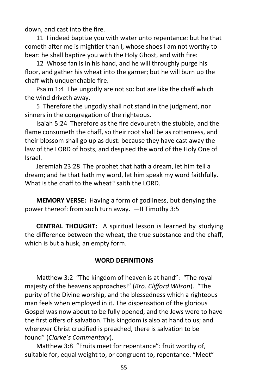down, and cast into the fire.

11 I indeed baptize you with water unto repentance: but he that cometh after me is mightier than I, whose shoes I am not worthy to bear: he shall baptize you with the Holy Ghost, and with fire:

12 Whose fan is in his hand, and he will throughly purge his floor, and gather his wheat into the garner; but he will burn up the chaff with unquenchable fire.

Psalm 1:4 The ungodly are not so: but are like the chaff which the wind driveth away.

5 Therefore the ungodly shall not stand in the judgment, nor sinners in the congregation of the righteous.

Isaiah 5:24 Therefore as the fire devoureth the stubble, and the flame consumeth the chaff, so their root shall be as rottenness, and their blossom shall go up as dust: because they have cast away the law of the LORD of hosts, and despised the word of the Holy One of Israel.

Jeremiah 23:28 The prophet that hath a dream, let him tell a dream; and he that hath my word, let him speak my word faithfully. What is the chaff to the wheat? saith the LORD.

**MEMORY VERSE:** Having a form of godliness, but denying the power thereof: from such turn away. —II Timothy 3:5

**CENTRAL THOUGHT:** A spiritual lesson is learned by studying the difference between the wheat, the true substance and the chaff, which is but a husk, an empty form.

#### **WORD DEFINITIONS**

Matthew 3:2 "The kingdom of heaven is at hand": "The royal majesty of the heavens approaches!" (*Bro. Clifford Wilson*). "The purity of the Divine worship, and the blessedness which a righteous man feels when employed in it. The dispensation of the glorious Gospel was now about to be fully opened, and the Jews were to have the first offers of salvation. This kingdom is also at hand to us; and wherever Christ crucified is preached, there is salvation to be found" (*Clarke's Commentary*).

Matthew 3:8 "Fruits meet for repentance": fruit worthy of, suitable for, equal weight to, or congruent to, repentance. "Meet"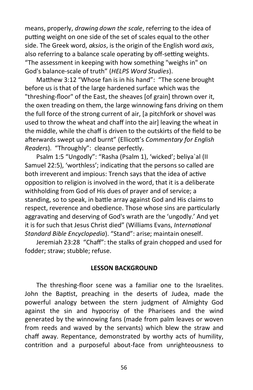means, properly, *drawing down the scale*, referring to the idea of putting weight on one side of the set of scales equal to the other side. The Greek word, *aksios*, is the origin of the English word *axis*, also referring to a balance scale operating by off-setting weights. "The assessment in keeping with how something "weighs in" on God's balance-scale of truth" (*HELPS Word Studies*).

Matthew 3:12 "Whose fan is in his hand": "The scene brought before us is that of the large hardened surface which was the "threshing-floor" of the East, the sheaves [of grain] thrown over it, the oxen treading on them, the large winnowing fans driving on them the full force of the strong current of air, [a pitchfork or shovel was used to throw the wheat and chaff into the air] leaving the wheat in the middle, while the chaff is driven to the outskirts of the field to be afterwards swept up and burnt" (Ellicott's *Commentary for English Readers*). "Throughly": cleanse perfectly.

Psalm 1:5 "Ungodly": "Rasha (Psalm 1), 'wicked'; beliya`al (II Samuel 22:5), 'worthless'; indicating that the persons so called are both irreverent and impious: Trench says that the idea of active opposition to religion is involved in the word, that it is a deliberate withholding from God of His dues of prayer and of service; a standing, so to speak, in battle array against God and His claims to respect, reverence and obedience. Those whose sins are particularly aggravating and deserving of God's wrath are the 'ungodly.' And yet it is for such that Jesus Christ died" (Williams Evans, *International Standard Bible Encyclopedia*). "Stand": arise; maintain oneself.

Jeremiah 23:28 "Chaff": the stalks of grain chopped and used for fodder; straw; stubble; refuse.

#### **LESSON BACKGROUND**

The threshing-floor scene was a familiar one to the Israelites. John the Baptist, preaching in the deserts of Judea, made the powerful analogy between the stern judgment of Almighty God against the sin and hypocrisy of the Pharisees and the wind generated by the winnowing fans (made from palm leaves or woven from reeds and waved by the servants) which blew the straw and chaff away. Repentance, demonstrated by worthy acts of humility, contrition and a purposeful about-face from unrighteousness to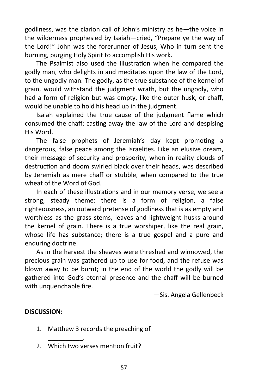godliness, was the clarion call of John's ministry as he—the voice in the wilderness prophesied by Isaiah—cried, "Prepare ye the way of the Lord!" John was the forerunner of Jesus, Who in turn sent the burning, purging Holy Spirit to accomplish His work.

The Psalmist also used the illustration when he compared the godly man, who delights in and meditates upon the law of the Lord, to the ungodly man. The godly, as the true substance of the kernel of grain, would withstand the judgment wrath, but the ungodly, who had a form of religion but was empty, like the outer husk, or chaff, would be unable to hold his head up in the judgment.

Isaiah explained the true cause of the judgment flame which consumed the chaff: casting away the law of the Lord and despising His Word.

The false prophets of Jeremiah's day kept promoting a dangerous, false peace among the Israelites. Like an elusive dream, their message of security and prosperity, when in reality clouds of destruction and doom swirled black over their heads, was described by Jeremiah as mere chaff or stubble, when compared to the true wheat of the Word of God.

In each of these illustrations and in our memory verse, we see a strong, steady theme: there is a form of religion, a false righteousness, an outward pretense of godliness that is as empty and worthless as the grass stems, leaves and lightweight husks around the kernel of grain. There is a true worshiper, like the real grain, whose life has substance; there is a true gospel and a pure and enduring doctrine.

As in the harvest the sheaves were threshed and winnowed, the precious grain was gathered up to use for food, and the refuse was blown away to be burnt; in the end of the world the godly will be gathered into God's eternal presence and the chaff will be burned with unquenchable fire.

—Sis. Angela Gellenbeck

# **DISCUSSION:**

- 1. Matthew 3 records the preaching of
- 2. Which two verses mention fruit?

\_\_\_\_\_\_\_\_\_\_.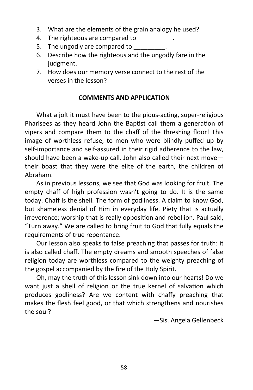- 3. What are the elements of the grain analogy he used?
- 4. The righteous are compared to \_\_\_\_\_\_\_\_\_.
- 5. The ungodly are compared to \_\_\_\_\_\_\_\_\_.
- 6. Describe how the righteous and the ungodly fare in the judgment.
- 7. How does our memory verse connect to the rest of the verses in the lesson?

# **COMMENTS AND APPLICATION**

What a jolt it must have been to the pious-acting, super-religious Pharisees as they heard John the Baptist call them a generation of vipers and compare them to the chaff of the threshing floor! This image of worthless refuse, to men who were blindly puffed up by self-importance and self-assured in their rigid adherence to the law, should have been a wake-up call. John also called their next move their boast that they were the elite of the earth, the children of Abraham.

As in previous lessons, we see that God was looking for fruit. The empty chaff of high profession wasn't going to do. It is the same today. Chaff is the shell. The form of godliness. A claim to know God, but shameless denial of Him in everyday life. Piety that is actually irreverence; worship that is really opposition and rebellion. Paul said, "Turn away." We are called to bring fruit to God that fully equals the requirements of true repentance.

Our lesson also speaks to false preaching that passes for truth: it is also called chaff. The empty dreams and smooth speeches of false religion today are worthless compared to the weighty preaching of the gospel accompanied by the fire of the Holy Spirit.

Oh, may the truth of this lesson sink down into our hearts! Do we want just a shell of religion or the true kernel of salvation which produces godliness? Are we content with chaffy preaching that makes the flesh feel good, or that which strengthens and nourishes the soul?

—Sis. Angela Gellenbeck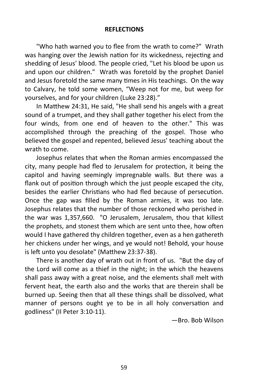#### **REFLECTIONS**

"Who hath warned you to flee from the wrath to come?" Wrath was hanging over the Jewish nation for its wickedness, rejecting and shedding of Jesus' blood. The people cried, "Let his blood be upon us and upon our children." Wrath was foretold by the prophet Daniel and Jesus foretold the same many times in His teachings. On the way to Calvary, he told some women, "Weep not for me, but weep for yourselves, and for your children (Luke 23:28)."

In Matthew 24:31, He said, "He shall send his angels with a great sound of a trumpet, and they shall gather together his elect from the four winds, from one end of heaven to the other." This was accomplished through the preaching of the gospel. Those who believed the gospel and repented, believed Jesus' teaching about the wrath to come.

Josephus relates that when the Roman armies encompassed the city, many people had fled to Jerusalem for protection, it being the capitol and having seemingly impregnable walls. But there was a flank out of position through which the just people escaped the city, besides the earlier Christians who had fled because of persecution. Once the gap was filled by the Roman armies, it was too late. Josephus relates that the number of those reckoned who perished in the war was 1,357,660. "O Jerusalem, Jerusalem, thou that killest the prophets, and stonest them which are sent unto thee, how often would I have gathered thy children together, even as a hen gathereth her chickens under her wings, and ye would not! Behold, your house is left unto you desolate" (Matthew 23:37-38).

There is another day of wrath out in front of us. "But the day of the Lord will come as a thief in the night; in the which the heavens shall pass away with a great noise, and the elements shall melt with fervent heat, the earth also and the works that are therein shall be burned up. Seeing then that all these things shall be dissolved, what manner of persons ought ye to be in all holy conversation and godliness" (II Peter 3:10-11).

—Bro. Bob Wilson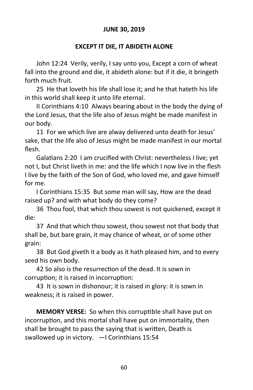# **JUNE 30, 2019**

# **EXCEPT IT DIE, IT ABIDETH ALONE**

John 12:24 Verily, verily, I say unto you, Except a corn of wheat fall into the ground and die, it abideth alone: but if it die, it bringeth forth much fruit.

25 He that loveth his life shall lose it; and he that hateth his life in this world shall keep it unto life eternal.

II Corinthians 4:10 Always bearing about in the body the dying of the Lord Jesus, that the life also of Jesus might be made manifest in our body.

11 For we which live are alway delivered unto death for Jesus' sake, that the life also of Jesus might be made manifest in our mortal flesh.

Galatians 2:20 I am crucified with Christ: nevertheless I live; yet not I, but Christ liveth in me: and the life which I now live in the flesh I live by the faith of the Son of God, who loved me, and gave himself for me.

I Corinthians 15:35 But some man will say, How are the dead raised up? and with what body do they come?

36 Thou fool, that which thou sowest is not quickened, except it die:

37 And that which thou sowest, thou sowest not that body that shall be, but bare grain, it may chance of wheat, or of some other grain:

38 But God giveth it a body as it hath pleased him, and to every seed his own body.

42 So also is the resurrection of the dead. It is sown in corruption; it is raised in incorruption:

43 It is sown in dishonour; it is raised in glory: it is sown in weakness; it is raised in power.

**MEMORY VERSE:** So when this corruptible shall have put on incorruption, and this mortal shall have put on immortality, then shall be brought to pass the saying that is written, Death is swallowed up in victory. —I Corinthians 15:54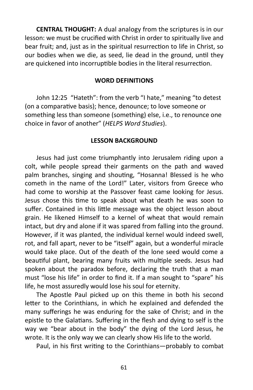**CENTRAL THOUGHT:** A dual analogy from the scriptures is in our lesson: we must be crucified with Christ in order to spiritually live and bear fruit; and, just as in the spiritual resurrection to life in Christ, so our bodies when we die, as seed, lie dead in the ground, until they are quickened into incorruptible bodies in the literal resurrection.

#### **WORD DEFINITIONS**

John 12:25 "Hateth": from the verb "I hate," meaning "to detest (on a comparative basis); hence, denounce; to love someone or something less than someone (something) else, i.e., to renounce one choice in favor of another" (*HELPS Word Studies*).

#### **LESSON BACKGROUND**

Jesus had just come triumphantly into Jerusalem riding upon a colt, while people spread their garments on the path and waved palm branches, singing and shouting, "Hosanna! Blessed is he who cometh in the name of the Lord!" Later, visitors from Greece who had come to worship at the Passover feast came looking for Jesus. Jesus chose this time to speak about what death he was soon to suffer. Contained in this little message was the object lesson about grain. He likened Himself to a kernel of wheat that would remain intact, but dry and alone if it was spared from falling into the ground. However, if it was planted, the individual kernel would indeed swell, rot, and fall apart, never to be "itself" again, but a wonderful miracle would take place. Out of the death of the lone seed would come a beautiful plant, bearing many fruits with multiple seeds. Jesus had spoken about the paradox before, declaring the truth that a man must "lose his life" in order to find it. If a man sought to "spare" his life, he most assuredly would lose his soul for eternity.

The Apostle Paul picked up on this theme in both his second letter to the Corinthians, in which he explained and defended the many sufferings he was enduring for the sake of Christ; and in the epistle to the Galatians. Suffering in the flesh and dying to self is the way we "bear about in the body" the dying of the Lord Jesus, he wrote. It is the only way we can clearly show His life to the world.

Paul, in his first writing to the Corinthians—probably to combat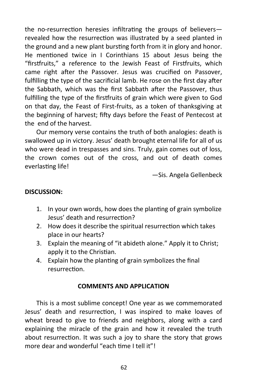the no-resurrection heresies infiltrating the groups of believers revealed how the resurrection was illustrated by a seed planted in the ground and a new plant bursting forth from it in glory and honor. He mentioned twice in I Corinthians 15 about Jesus being the "firstfruits," a reference to the Jewish Feast of Firstfruits, which came right after the Passover. Jesus was crucified on Passover, fulfilling the type of the sacrificial lamb. He rose on the first day after the Sabbath, which was the first Sabbath after the Passover, thus fulfilling the type of the firstfruits of grain which were given to God on that day, the Feast of First-fruits, as a token of thanksgiving at the beginning of harvest; fifty days before the Feast of Pentecost at the end of the harvest.

Our memory verse contains the truth of both analogies: death is swallowed up in victory. Jesus' death brought eternal life for all of us who were dead in trespasses and sins. Truly, gain comes out of loss, the crown comes out of the cross, and out of death comes everlasting life!

—Sis. Angela Gellenbeck

#### **DISCUSSION:**

- 1. In your own words, how does the planting of grain symbolize Jesus' death and resurrection?
- 2. How does it describe the spiritual resurrection which takes place in our hearts?
- 3. Explain the meaning of "it abideth alone." Apply it to Christ; apply it to the Christian.
- 4. Explain how the planting of grain symbolizes the final resurrection.

#### **COMMENTS AND APPLICATION**

This is a most sublime concept! One year as we commemorated Jesus' death and resurrection, I was inspired to make loaves of wheat bread to give to friends and neighbors, along with a card explaining the miracle of the grain and how it revealed the truth about resurrection. It was such a joy to share the story that grows more dear and wonderful "each time I tell it"!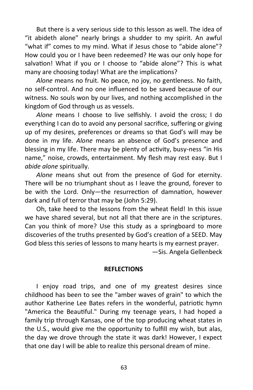But there is a very serious side to this lesson as well. The idea of "it abideth alone" nearly brings a shudder to my spirit. An awful "what if" comes to my mind. What if Jesus chose to "abide alone"? How could you or I have been redeemed? He was our only hope for salvation! What if you or I choose to "abide alone"? This is what many are choosing today! What are the implications?

*Alone* means no fruit. No peace, no joy, no gentleness. No faith, no self-control. And no one influenced to be saved because of our witness. No souls won by our lives, and nothing accomplished in the kingdom of God through us as vessels.

*Alone* means I choose to live selfishly. I avoid the cross; I do everything I can do to avoid any personal sacrifice, suffering or giving up of my desires, preferences or dreams so that God's will may be done in my life. *Alone* means an absence of God's presence and blessing in my life. There may be plenty of activity, busy-ness "in His name," noise, crowds, entertainment. My flesh may rest easy. But I *abide alone* spiritually.

*Alone* means shut out from the presence of God for eternity. There will be no triumphant shout as I leave the ground, forever to be with the Lord. Only—the resurrection of damnation, however dark and full of terror that may be (John 5:29).

Oh, take heed to the lessons from the wheat field! In this issue we have shared several, but not all that there are in the scriptures. Can you think of more? Use this study as a springboard to more discoveries of the truths presented by God's creation of a SEED. May God bless this series of lessons to many hearts is my earnest prayer.

—Sis. Angela Gellenbeck

#### **REFLECTIONS**

I enjoy road trips, and one of my greatest desires since childhood has been to see the "amber waves of grain" to which the author Katherine Lee Bates refers in the wonderful, patriotic hymn "America the Beautiful." During my teenage years, I had hoped a family trip through Kansas, one of the top producing wheat states in the U.S., would give me the opportunity to fulfill my wish, but alas, the day we drove through the state it was dark! However, I expect that one day I will be able to realize this personal dream of mine.

63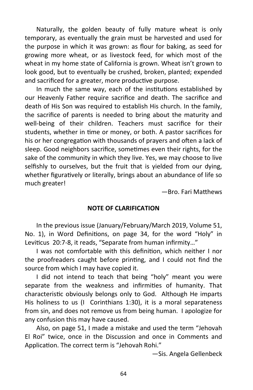Naturally, the golden beauty of fully mature wheat is only temporary, as eventually the grain must be harvested and used for the purpose in which it was grown: as flour for baking, as seed for growing more wheat, or as livestock feed, for which most of the wheat in my home state of California is grown. Wheat isn't grown to look good, but to eventually be crushed, broken, planted; expended and sacrificed for a greater, more productive purpose.

In much the same way, each of the institutions established by our Heavenly Father require sacrifice and death. The sacrifice and death of His Son was required to establish His church. In the family, the sacrifice of parents is needed to bring about the maturity and well-being of their children. Teachers must sacrifice for their students, whether in time or money, or both. A pastor sacrifices for his or her congregation with thousands of prayers and often a lack of sleep. Good neighbors sacrifice, sometimes even their rights, for the sake of the community in which they live. Yes, we may choose to live selfishly to ourselves, but the fruit that is yielded from our dying, whether figuratively or literally, brings about an abundance of life so much greater!

—Bro. Fari Matthews

#### **NOTE OF CLARIFICATION**

In the previous issue (January/February/March 2019, Volume 51, No. 1), in Word Definitions, on page 34, for the word "Holy" in Leviticus 20:7-8, it reads, "Separate from human infirmity…"

I was not comfortable with this definition, which neither I nor the proofreaders caught before printing, and I could not find the source from which I may have copied it.

I did not intend to teach that being "holy" meant you were separate from the weakness and infirmities of humanity. That characteristic obviously belongs only to God. Although He imparts His holiness to us (I Corinthians 1:30), it is a moral separateness from sin, and does not remove us from being human. I apologize for any confusion this may have caused.

Also, on page 51, I made a mistake and used the term "Jehovah El Roi" twice, once in the Discussion and once in Comments and Application. The correct term is "Jehovah Rohi."

—Sis. Angela Gellenbeck